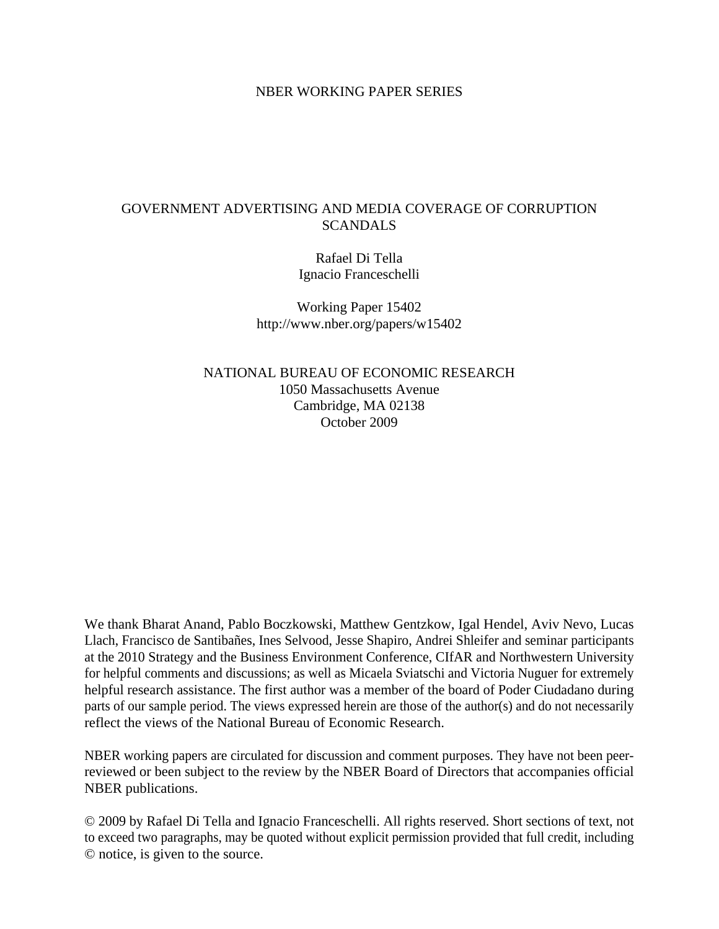## NBER WORKING PAPER SERIES

# GOVERNMENT ADVERTISING AND MEDIA COVERAGE OF CORRUPTION **SCANDALS**

Rafael Di Tella Ignacio Franceschelli

Working Paper 15402 http://www.nber.org/papers/w15402

NATIONAL BUREAU OF ECONOMIC RESEARCH 1050 Massachusetts Avenue Cambridge, MA 02138 October 2009

We thank Bharat Anand, Pablo Boczkowski, Matthew Gentzkow, Igal Hendel, Aviv Nevo, Lucas Llach, Francisco de Santibañes, Ines Selvood, Jesse Shapiro, Andrei Shleifer and seminar participants at the 2010 Strategy and the Business Environment Conference, CIfAR and Northwestern University for helpful comments and discussions; as well as Micaela Sviatschi and Victoria Nuguer for extremely helpful research assistance. The first author was a member of the board of Poder Ciudadano during parts of our sample period. The views expressed herein are those of the author(s) and do not necessarily reflect the views of the National Bureau of Economic Research.

NBER working papers are circulated for discussion and comment purposes. They have not been peerreviewed or been subject to the review by the NBER Board of Directors that accompanies official NBER publications.

© 2009 by Rafael Di Tella and Ignacio Franceschelli. All rights reserved. Short sections of text, not to exceed two paragraphs, may be quoted without explicit permission provided that full credit, including © notice, is given to the source.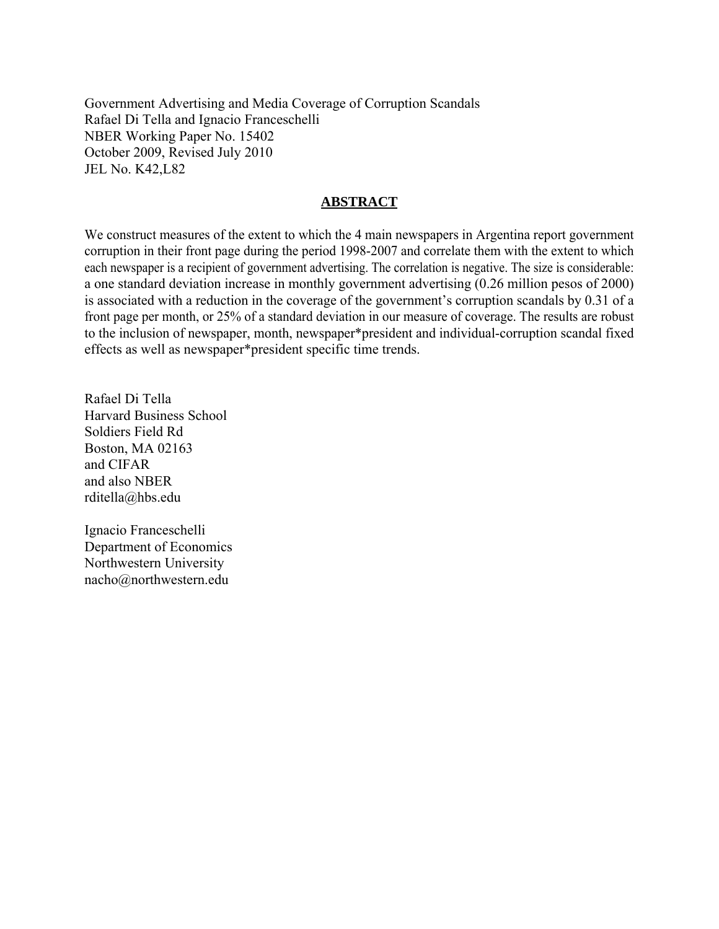Government Advertising and Media Coverage of Corruption Scandals Rafael Di Tella and Ignacio Franceschelli NBER Working Paper No. 15402 October 2009, Revised July 2010 JEL No. K42,L82

# **ABSTRACT**

We construct measures of the extent to which the 4 main newspapers in Argentina report government corruption in their front page during the period 1998-2007 and correlate them with the extent to which each newspaper is a recipient of government advertising. The correlation is negative. The size is considerable: a one standard deviation increase in monthly government advertising (0.26 million pesos of 2000) is associated with a reduction in the coverage of the government's corruption scandals by 0.31 of a front page per month, or 25% of a standard deviation in our measure of coverage. The results are robust to the inclusion of newspaper, month, newspaper\*president and individual-corruption scandal fixed effects as well as newspaper\*president specific time trends.

Rafael Di Tella Harvard Business School Soldiers Field Rd Boston, MA 02163 and CIFAR and also NBER rditella@hbs.edu

Ignacio Franceschelli Department of Economics Northwestern University nacho@northwestern.edu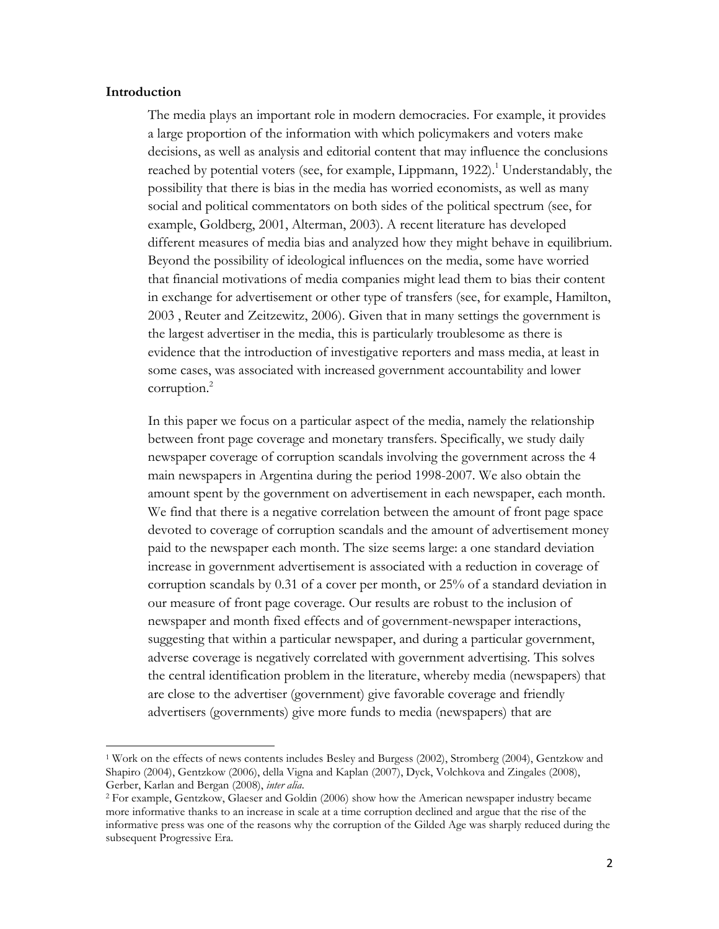#### **Introduction**

l

The media plays an important role in modern democracies. For example, it provides a large proportion of the information with which policymakers and voters make decisions, as well as analysis and editorial content that may influence the conclusions reached by potential voters (see, for example, Lippmann,  $1922$ ).<sup>1</sup> Understandably, the possibility that there is bias in the media has worried economists, as well as many social and political commentators on both sides of the political spectrum (see, for example, Goldberg, 2001, Alterman, 2003). A recent literature has developed different measures of media bias and analyzed how they might behave in equilibrium. Beyond the possibility of ideological influences on the media, some have worried that financial motivations of media companies might lead them to bias their content in exchange for advertisement or other type of transfers (see, for example, Hamilton, 2003 , Reuter and Zeitzewitz, 2006). Given that in many settings the government is the largest advertiser in the media, this is particularly troublesome as there is evidence that the introduction of investigative reporters and mass media, at least in some cases, was associated with increased government accountability and lower corruption.<sup>2</sup>

In this paper we focus on a particular aspect of the media, namely the relationship between front page coverage and monetary transfers. Specifically, we study daily newspaper coverage of corruption scandals involving the government across the 4 main newspapers in Argentina during the period 1998-2007. We also obtain the amount spent by the government on advertisement in each newspaper, each month. We find that there is a negative correlation between the amount of front page space devoted to coverage of corruption scandals and the amount of advertisement money paid to the newspaper each month. The size seems large: a one standard deviation increase in government advertisement is associated with a reduction in coverage of corruption scandals by 0.31 of a cover per month, or 25% of a standard deviation in our measure of front page coverage. Our results are robust to the inclusion of newspaper and month fixed effects and of government-newspaper interactions, suggesting that within a particular newspaper, and during a particular government, adverse coverage is negatively correlated with government advertising. This solves the central identification problem in the literature, whereby media (newspapers) that are close to the advertiser (government) give favorable coverage and friendly advertisers (governments) give more funds to media (newspapers) that are

<sup>1</sup> Work on the effects of news contents includes Besley and Burgess (2002), Stromberg (2004), Gentzkow and Shapiro (2004), Gentzkow (2006), della Vigna and Kaplan (2007), Dyck, Volchkova and Zingales (2008), Gerber, Karlan and Bergan (2008), *inter alia*.

<sup>2</sup> For example, Gentzkow, Glaeser and Goldin (2006) show how the American newspaper industry became more informative thanks to an increase in scale at a time corruption declined and argue that the rise of the informative press was one of the reasons why the corruption of the Gilded Age was sharply reduced during the subsequent Progressive Era.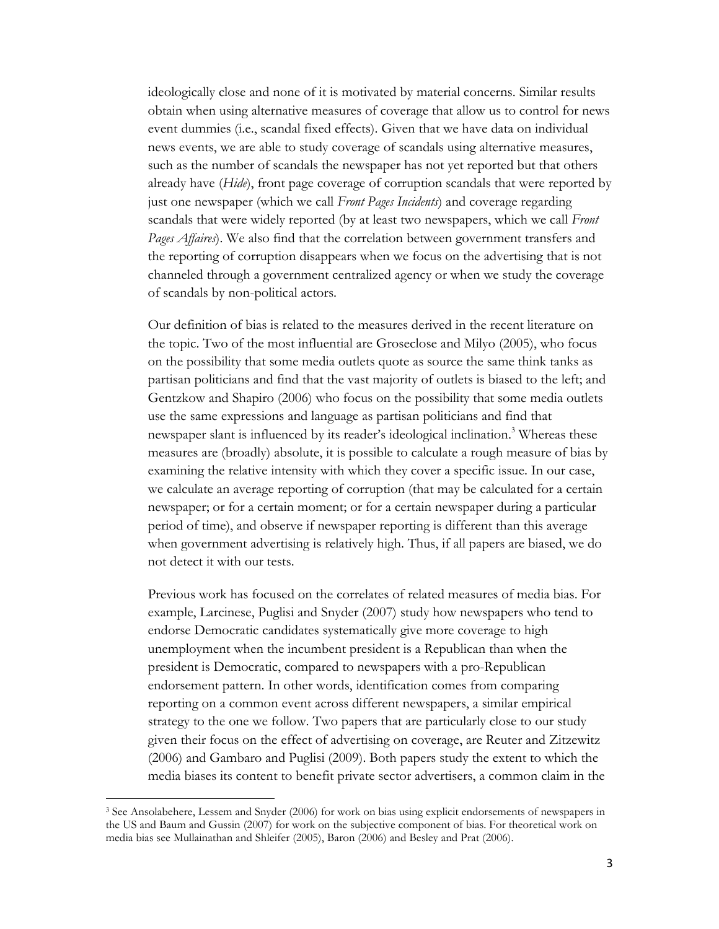ideologically close and none of it is motivated by material concerns. Similar results obtain when using alternative measures of coverage that allow us to control for news event dummies (i.e., scandal fixed effects). Given that we have data on individual news events, we are able to study coverage of scandals using alternative measures, such as the number of scandals the newspaper has not yet reported but that others already have (*Hide*), front page coverage of corruption scandals that were reported by just one newspaper (which we call *Front Pages Incidents*) and coverage regarding scandals that were widely reported (by at least two newspapers, which we call *Front Pages Affaires*). We also find that the correlation between government transfers and the reporting of corruption disappears when we focus on the advertising that is not channeled through a government centralized agency or when we study the coverage of scandals by non-political actors.

Our definition of bias is related to the measures derived in the recent literature on the topic. Two of the most influential are Groseclose and Milyo (2005), who focus on the possibility that some media outlets quote as source the same think tanks as partisan politicians and find that the vast majority of outlets is biased to the left; and Gentzkow and Shapiro (2006) who focus on the possibility that some media outlets use the same expressions and language as partisan politicians and find that newspaper slant is influenced by its reader's ideological inclination. <sup>3</sup> Whereas these measures are (broadly) absolute, it is possible to calculate a rough measure of bias by examining the relative intensity with which they cover a specific issue. In our case, we calculate an average reporting of corruption (that may be calculated for a certain newspaper; or for a certain moment; or for a certain newspaper during a particular period of time), and observe if newspaper reporting is different than this average when government advertising is relatively high. Thus, if all papers are biased, we do not detect it with our tests.

Previous work has focused on the correlates of related measures of media bias. For example, Larcinese, Puglisi and Snyder (2007) study how newspapers who tend to endorse Democratic candidates systematically give more coverage to high unemployment when the incumbent president is a Republican than when the president is Democratic, compared to newspapers with a pro-Republican endorsement pattern. In other words, identification comes from comparing reporting on a common event across different newspapers, a similar empirical strategy to the one we follow. Two papers that are particularly close to our study given their focus on the effect of advertising on coverage, are Reuter and Zitzewitz (2006) and Gambaro and Puglisi (2009). Both papers study the extent to which the media biases its content to benefit private sector advertisers, a common claim in the

l

<sup>3</sup> See Ansolabehere, Lessem and Snyder (2006) for work on bias using explicit endorsements of newspapers in the US and Baum and Gussin (2007) for work on the subjective component of bias. For theoretical work on media bias see Mullainathan and Shleifer (2005), Baron (2006) and Besley and Prat (2006).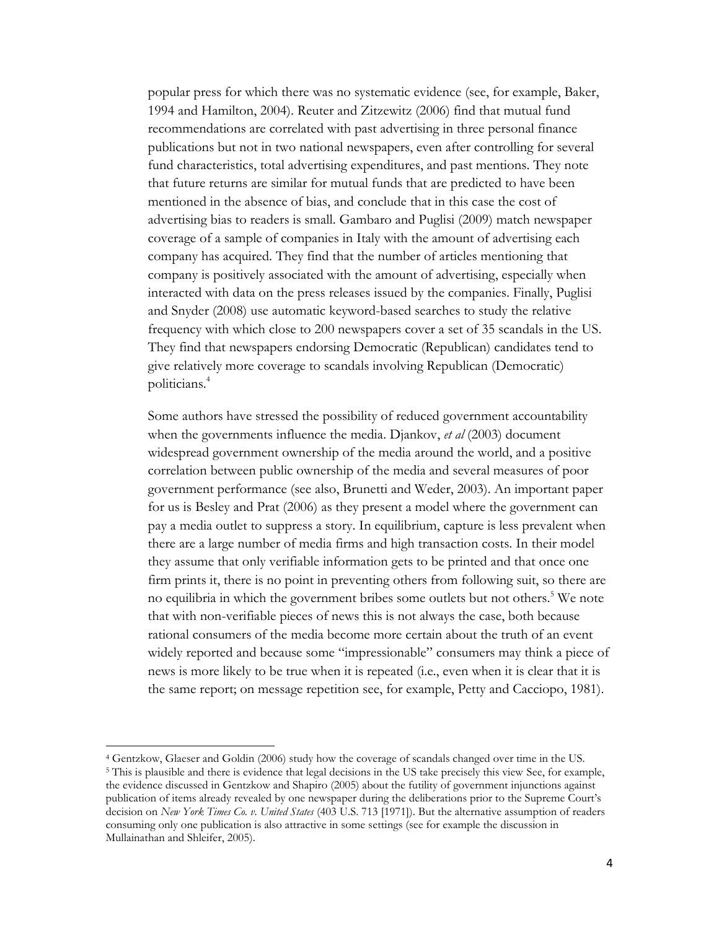popular press for which there was no systematic evidence (see, for example, Baker, 1994 and Hamilton, 2004). Reuter and Zitzewitz (2006) find that mutual fund recommendations are correlated with past advertising in three personal finance publications but not in two national newspapers, even after controlling for several fund characteristics, total advertising expenditures, and past mentions. They note that future returns are similar for mutual funds that are predicted to have been mentioned in the absence of bias, and conclude that in this case the cost of advertising bias to readers is small. Gambaro and Puglisi (2009) match newspaper coverage of a sample of companies in Italy with the amount of advertising each company has acquired. They find that the number of articles mentioning that company is positively associated with the amount of advertising, especially when interacted with data on the press releases issued by the companies. Finally, Puglisi and Snyder (2008) use automatic keyword-based searches to study the relative frequency with which close to 200 newspapers cover a set of 35 scandals in the US. They find that newspapers endorsing Democratic (Republican) candidates tend to give relatively more coverage to scandals involving Republican (Democratic) politicians.<sup>4</sup>

Some authors have stressed the possibility of reduced government accountability when the governments influence the media. Djankov, *et al* (2003) document widespread government ownership of the media around the world, and a positive correlation between public ownership of the media and several measures of poor government performance (see also, Brunetti and Weder, 2003). An important paper for us is Besley and Prat (2006) as they present a model where the government can pay a media outlet to suppress a story. In equilibrium, capture is less prevalent when there are a large number of media firms and high transaction costs. In their model they assume that only verifiable information gets to be printed and that once one firm prints it, there is no point in preventing others from following suit, so there are no equilibria in which the government bribes some outlets but not others.<sup>5</sup> We note that with non-verifiable pieces of news this is not always the case, both because rational consumers of the media become more certain about the truth of an event widely reported and because some "impressionable" consumers may think a piece of news is more likely to be true when it is repeated (i.e., even when it is clear that it is the same report; on message repetition see, for example, Petty and Cacciopo, 1981).

l

<sup>4</sup> Gentzkow, Glaeser and Goldin (2006) study how the coverage of scandals changed over time in the US. <sup>5</sup> This is plausible and there is evidence that legal decisions in the US take precisely this view See, for example, the evidence discussed in Gentzkow and Shapiro (2005) about the futility of government injunctions against publication of items already revealed by one newspaper during the deliberations prior to the Supreme Court's decision on *New York Times Co. v. United States* (403 U.S. 713 [1971]). But the alternative assumption of readers consuming only one publication is also attractive in some settings (see for example the discussion in Mullainathan and Shleifer, 2005).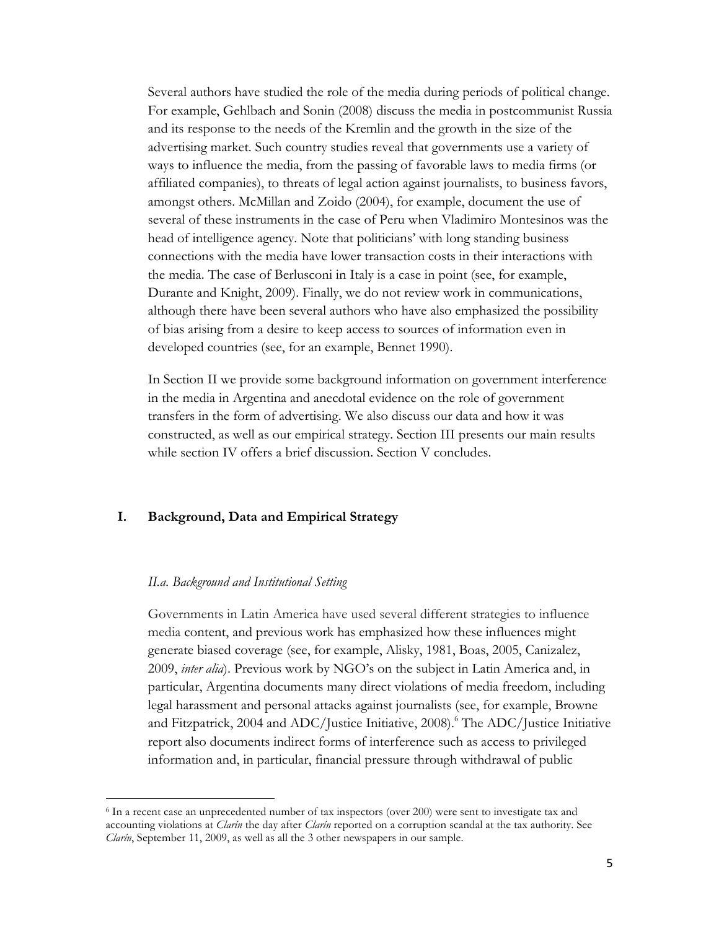Several authors have studied the role of the media during periods of political change. For example, Gehlbach and Sonin (2008) discuss the media in postcommunist Russia and its response to the needs of the Kremlin and the growth in the size of the advertising market. Such country studies reveal that governments use a variety of ways to influence the media, from the passing of favorable laws to media firms (or affiliated companies), to threats of legal action against journalists, to business favors, amongst others. McMillan and Zoido (2004), for example, document the use of several of these instruments in the case of Peru when Vladimiro Montesinos was the head of intelligence agency. Note that politicians' with long standing business connections with the media have lower transaction costs in their interactions with the media. The case of Berlusconi in Italy is a case in point (see, for example, Durante and Knight, 2009). Finally, we do not review work in communications, although there have been several authors who have also emphasized the possibility of bias arising from a desire to keep access to sources of information even in developed countries (see, for an example, Bennet 1990).

In Section II we provide some background information on government interference in the media in Argentina and anecdotal evidence on the role of government transfers in the form of advertising. We also discuss our data and how it was constructed, as well as our empirical strategy. Section III presents our main results while section IV offers a brief discussion. Section V concludes.

# **I. Background, Data and Empirical Strategy**

### *II.a. Background and Institutional Setting*

l

Governments in Latin America have used several different strategies to influence media content, and previous work has emphasized how these influences might generate biased coverage (see, for example, Alisky, 1981, Boas, 2005, Canizalez, 2009, *inter alia*). Previous work by NGO's on the subject in Latin America and, in particular, Argentina documents many direct violations of media freedom, including legal harassment and personal attacks against journalists (see, for example, Browne and Fitzpatrick, 2004 and ADC/Justice Initiative, 2008).<sup>6</sup> The ADC/Justice Initiative report also documents indirect forms of interference such as access to privileged information and, in particular, financial pressure through withdrawal of public

<sup>&</sup>lt;sup>6</sup> In a recent case an unprecedented number of tax inspectors (over 200) were sent to investigate tax and accounting violations at *Clarín* the day after *Clarín* reported on a corruption scandal at the tax authority. See *Clarín*, September 11, 2009, as well as all the 3 other newspapers in our sample.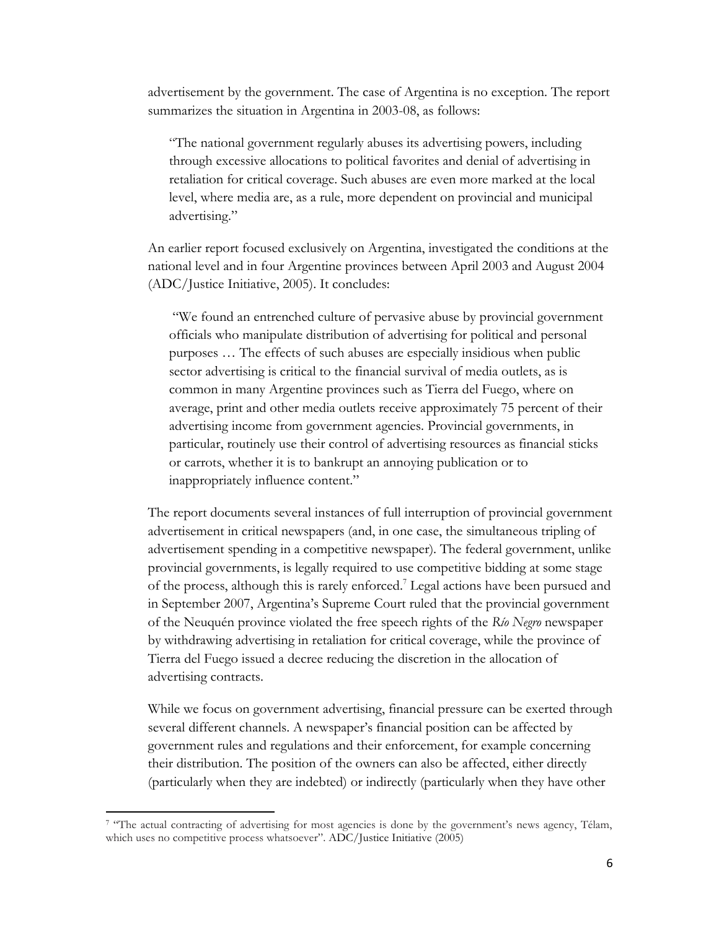advertisement by the government. The case of Argentina is no exception. The report summarizes the situation in Argentina in 2003-08, as follows:

"The national government regularly abuses its advertising powers, including through excessive allocations to political favorites and denial of advertising in retaliation for critical coverage. Such abuses are even more marked at the local level, where media are, as a rule, more dependent on provincial and municipal advertising."

An earlier report focused exclusively on Argentina, investigated the conditions at the national level and in four Argentine provinces between April 2003 and August 2004 (ADC/Justice Initiative, 2005). It concludes:

"We found an entrenched culture of pervasive abuse by provincial government officials who manipulate distribution of advertising for political and personal purposes … The effects of such abuses are especially insidious when public sector advertising is critical to the financial survival of media outlets, as is common in many Argentine provinces such as Tierra del Fuego, where on average, print and other media outlets receive approximately 75 percent of their advertising income from government agencies. Provincial governments, in particular, routinely use their control of advertising resources as financial sticks or carrots, whether it is to bankrupt an annoying publication or to inappropriately influence content."

The report documents several instances of full interruption of provincial government advertisement in critical newspapers (and, in one case, the simultaneous tripling of advertisement spending in a competitive newspaper). The federal government, unlike provincial governments, is legally required to use competitive bidding at some stage of the process, although this is rarely enforced.<sup>7</sup> Legal actions have been pursued and in September 2007, Argentina's Supreme Court ruled that the provincial government of the Neuquén province violated the free speech rights of the *Río Negro* newspaper by withdrawing advertising in retaliation for critical coverage, while the province of Tierra del Fuego issued a decree reducing the discretion in the allocation of advertising contracts.

While we focus on government advertising, financial pressure can be exerted through several different channels. A newspaper's financial position can be affected by government rules and regulations and their enforcement, for example concerning their distribution. The position of the owners can also be affected, either directly (particularly when they are indebted) or indirectly (particularly when they have other

 $\overline{\phantom{a}}$ 

<sup>&</sup>lt;sup>7</sup> "The actual contracting of advertising for most agencies is done by the government's news agency, Télam, which uses no competitive process whatsoever". ADC/Justice Initiative (2005)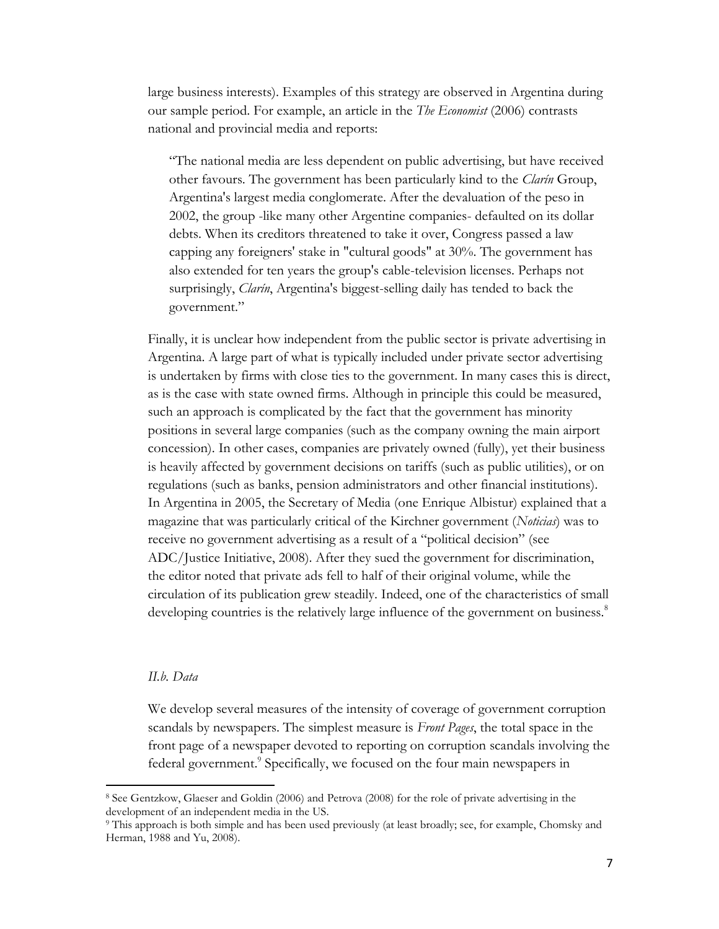large business interests). Examples of this strategy are observed in Argentina during our sample period. For example, an article in the *The Economist* (2006) contrasts national and provincial media and reports:

"The national media are less dependent on public advertising, but have received other favours. The government has been particularly kind to the *Clarín* Group, Argentina's largest media conglomerate. After the devaluation of the peso in 2002, the group -like many other Argentine companies- defaulted on its dollar debts. When its creditors threatened to take it over, Congress passed a law capping any foreigners' stake in "cultural goods" at 30%. The government has also extended for ten years the group's cable-television licenses. Perhaps not surprisingly, *Clarín*, Argentina's biggest-selling daily has tended to back the government."

Finally, it is unclear how independent from the public sector is private advertising in Argentina. A large part of what is typically included under private sector advertising is undertaken by firms with close ties to the government. In many cases this is direct, as is the case with state owned firms. Although in principle this could be measured, such an approach is complicated by the fact that the government has minority positions in several large companies (such as the company owning the main airport concession). In other cases, companies are privately owned (fully), yet their business is heavily affected by government decisions on tariffs (such as public utilities), or on regulations (such as banks, pension administrators and other financial institutions). In Argentina in 2005, the Secretary of Media (one Enrique Albistur) explained that a magazine that was particularly critical of the Kirchner government (*Noticias*) was to receive no government advertising as a result of a "political decision" (see ADC/Justice Initiative, 2008). After they sued the government for discrimination, the editor noted that private ads fell to half of their original volume, while the circulation of its publication grew steadily. Indeed, one of the characteristics of small developing countries is the relatively large influence of the government on business.<sup>8</sup>

## *II.b. Data*

l

We develop several measures of the intensity of coverage of government corruption scandals by newspapers. The simplest measure is *Front Pages*, the total space in the front page of a newspaper devoted to reporting on corruption scandals involving the federal government.<sup>9</sup> Specifically, we focused on the four main newspapers in

<sup>8</sup> See Gentzkow, Glaeser and Goldin (2006) and Petrova (2008) for the role of private advertising in the development of an independent media in the US.

<sup>9</sup> This approach is both simple and has been used previously (at least broadly; see, for example, Chomsky and Herman, 1988 and Yu, 2008).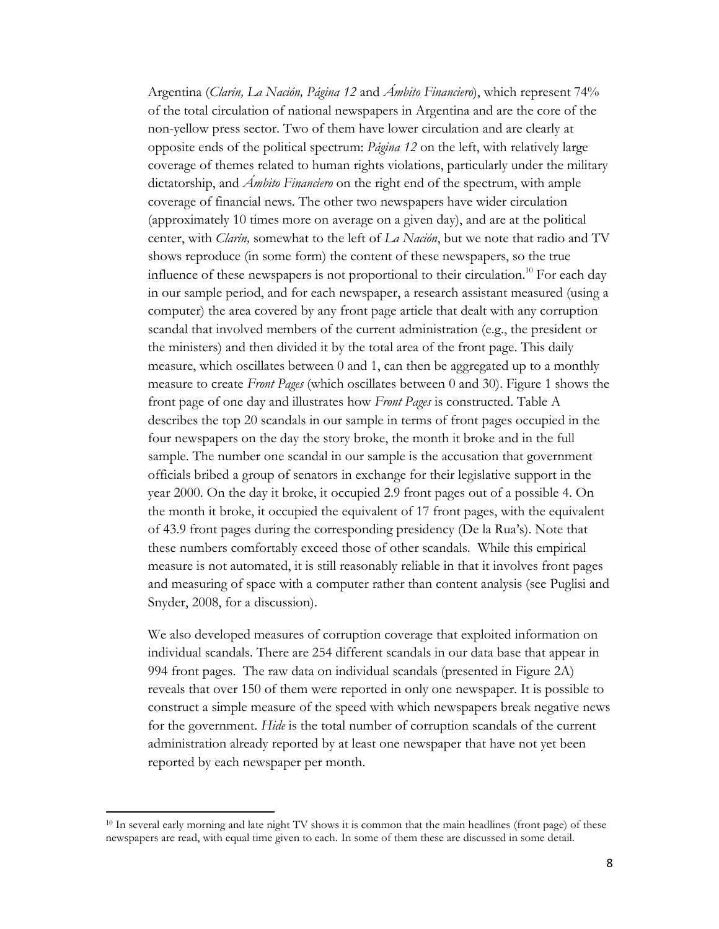Argentina (*Clarín, La Nación, Página 12* and *Ámbito Financiero*), which represent 74% of the total circulation of national newspapers in Argentina and are the core of the non-yellow press sector. Two of them have lower circulation and are clearly at opposite ends of the political spectrum: *Página 12* on the left, with relatively large coverage of themes related to human rights violations, particularly under the military dictatorship, and *Ámbito Financiero* on the right end of the spectrum, with ample coverage of financial news. The other two newspapers have wider circulation (approximately 10 times more on average on a given day), and are at the political center, with *Clarín,* somewhat to the left of *La Nación*, but we note that radio and TV shows reproduce (in some form) the content of these newspapers, so the true influence of these newspapers is not proportional to their circulation.<sup>10</sup> For each day in our sample period, and for each newspaper, a research assistant measured (using a computer) the area covered by any front page article that dealt with any corruption scandal that involved members of the current administration (e.g., the president or the ministers) and then divided it by the total area of the front page. This daily measure, which oscillates between  $0$  and  $1$ , can then be aggregated up to a monthly measure to create *Front Pages* (which oscillates between 0 and 30). Figure 1 shows the front page of one day and illustrates how *Front Pages* is constructed. Table A describes the top 20 scandals in our sample in terms of front pages occupied in the four newspapers on the day the story broke, the month it broke and in the full sample. The number one scandal in our sample is the accusation that government officials bribed a group of senators in exchange for their legislative support in the year 2000. On the day it broke, it occupied 2.9 front pages out of a possible 4. On the month it broke, it occupied the equivalent of 17 front pages, with the equivalent of 43.9 front pages during the corresponding presidency (De la Rua's). Note that these numbers comfortably exceed those of other scandals. While this empirical measure is not automated, it is still reasonably reliable in that it involves front pages and measuring of space with a computer rather than content analysis (see Puglisi and Snyder, 2008, for a discussion).

We also developed measures of corruption coverage that exploited information on individual scandals. There are 254 different scandals in our data base that appear in 994 front pages. The raw data on individual scandals (presented in Figure 2A) reveals that over 150 of them were reported in only one newspaper. It is possible to construct a simple measure of the speed with which newspapers break negative news for the government. *Hide* is the total number of corruption scandals of the current administration already reported by at least one newspaper that have not yet been reported by each newspaper per month.

 $\overline{\phantom{a}}$ 

<sup>&</sup>lt;sup>10</sup> In several early morning and late night TV shows it is common that the main headlines (front page) of these newspapers are read, with equal time given to each. In some of them these are discussed in some detail.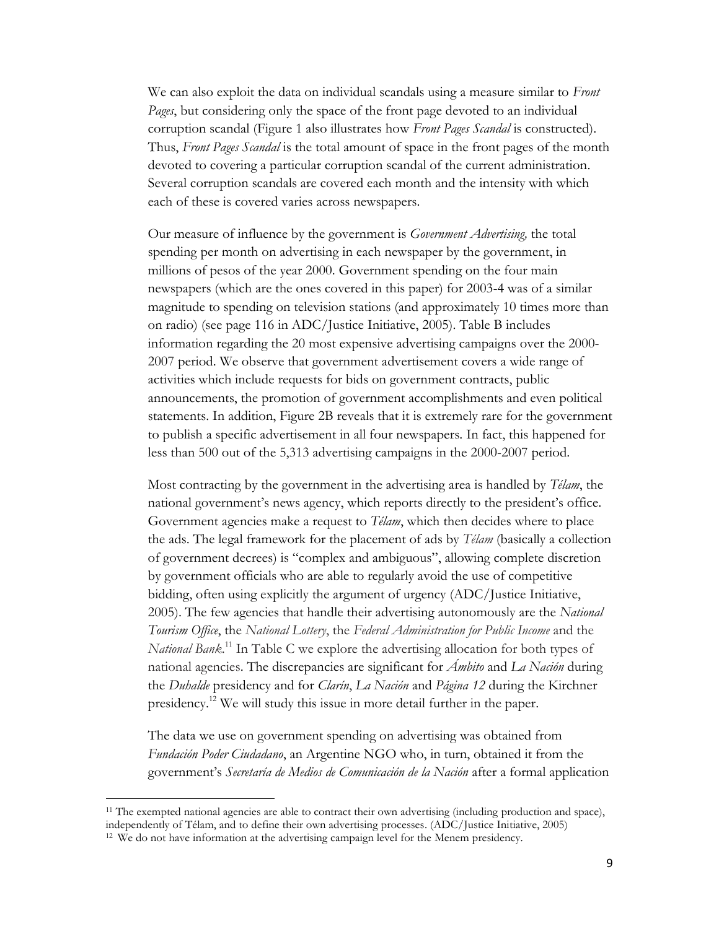We can also exploit the data on individual scandals using a measure similar to *Front Pages*, but considering only the space of the front page devoted to an individual corruption scandal (Figure 1 also illustrates how *Front Pages Scandal* is constructed). Thus, *Front Pages Scandal* is the total amount of space in the front pages of the month devoted to covering a particular corruption scandal of the current administration. Several corruption scandals are covered each month and the intensity with which each of these is covered varies across newspapers.

Our measure of influence by the government is *Government Advertising,* the total spending per month on advertising in each newspaper by the government, in millions of pesos of the year 2000. Government spending on the four main newspapers (which are the ones covered in this paper) for 2003-4 was of a similar magnitude to spending on television stations (and approximately 10 times more than on radio) (see page 116 in ADC/Justice Initiative, 2005). Table B includes information regarding the 20 most expensive advertising campaigns over the 2000- 2007 period. We observe that government advertisement covers a wide range of activities which include requests for bids on government contracts, public announcements, the promotion of government accomplishments and even political statements. In addition, Figure 2B reveals that it is extremely rare for the government to publish a specific advertisement in all four newspapers. In fact, this happened for less than 500 out of the 5,313 advertising campaigns in the 2000-2007 period.

Most contracting by the government in the advertising area is handled by *Télam*, the national government's news agency, which reports directly to the president's office. Government agencies make a request to *Télam*, which then decides where to place the ads. The legal framework for the placement of ads by *Télam* (basically a collection of government decrees) is "complex and ambiguous", allowing complete discretion by government officials who are able to regularly avoid the use of competitive bidding, often using explicitly the argument of urgency (ADC/Justice Initiative, 2005). The few agencies that handle their advertising autonomously are the *National Tourism Office*, the *National Lottery*, the *Federal Administration for Public Income* and the *National Bank*. <sup>11</sup> In Table C we explore the advertising allocation for both types of national agencies. The discrepancies are significant for *Ámbito* and *La Nación* during the *Duhalde* presidency and for *Clarín*, *La Nación* and *Página 12* during the Kirchner presidency.<sup>12</sup> We will study this issue in more detail further in the paper.

The data we use on government spending on advertising was obtained from *Fundación Poder Ciudadano*, an Argentine NGO who, in turn, obtained it from the government's *Secretaría de Medios de Comunicación de la Nación* after a formal application

l

<sup>&</sup>lt;sup>11</sup> The exempted national agencies are able to contract their own advertising (including production and space), independently of Télam, and to define their own advertising processes. (ADC/Justice Initiative, 2005)

<sup>&</sup>lt;sup>12</sup> We do not have information at the advertising campaign level for the Menem presidency.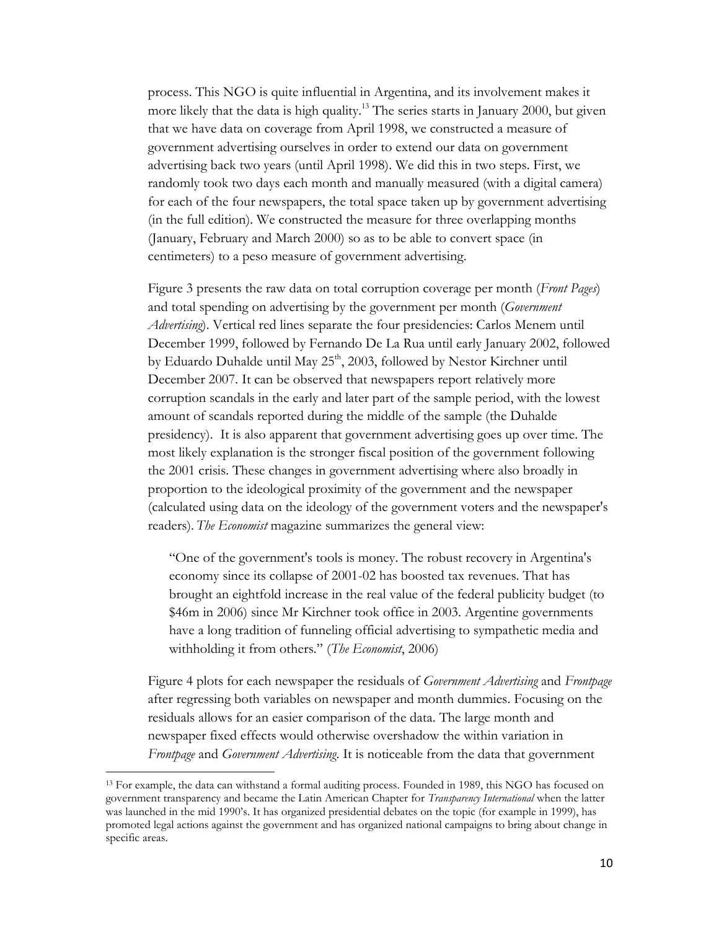process. This NGO is quite influential in Argentina, and its involvement makes it more likely that the data is high quality.<sup>13</sup> The series starts in January 2000, but given that we have data on coverage from April 1998, we constructed a measure of government advertising ourselves in order to extend our data on government advertising back two years (until April 1998). We did this in two steps. First, we randomly took two days each month and manually measured (with a digital camera) for each of the four newspapers, the total space taken up by government advertising (in the full edition). We constructed the measure for three overlapping months (January, February and March 2000) so as to be able to convert space (in centimeters) to a peso measure of government advertising.

Figure 3 presents the raw data on total corruption coverage per month (*Front Pages*) and total spending on advertising by the government per month (*Government Advertising*). Vertical red lines separate the four presidencies: Carlos Menem until December 1999, followed by Fernando De La Rua until early January 2002, followed by Eduardo Duhalde until May 25<sup>th</sup>, 2003, followed by Nestor Kirchner until December 2007. It can be observed that newspapers report relatively more corruption scandals in the early and later part of the sample period, with the lowest amount of scandals reported during the middle of the sample (the Duhalde presidency). It is also apparent that government advertising goes up over time. The most likely explanation is the stronger fiscal position of the government following the 2001 crisis. These changes in government advertising where also broadly in proportion to the ideological proximity of the government and the newspaper (calculated using data on the ideology of the government voters and the newspaper's readers). *The Economist* magazine summarizes the general view:

"One of the government's tools is money. The robust recovery in Argentina's economy since its collapse of 2001-02 has boosted tax revenues. That has brought an eightfold increase in the real value of the federal publicity budget (to \$46m in 2006) since Mr Kirchner took office in 2003. Argentine governments have a long tradition of funneling official advertising to sympathetic media and withholding it from others." (*The Economist*, 2006)

Figure 4 plots for each newspaper the residuals of *Government Advertising* and *Frontpage* after regressing both variables on newspaper and month dummies. Focusing on the residuals allows for an easier comparison of the data. The large month and newspaper fixed effects would otherwise overshadow the within variation in *Frontpage* and *Government Advertising*. It is noticeable from the data that government

 $\overline{a}$ 

<sup>&</sup>lt;sup>13</sup> For example, the data can withstand a formal auditing process. Founded in 1989, this NGO has focused on government transparency and became the Latin American Chapter for *Transparency International* when the latter was launched in the mid 1990's. It has organized presidential debates on the topic (for example in 1999), has promoted legal actions against the government and has organized national campaigns to bring about change in specific areas.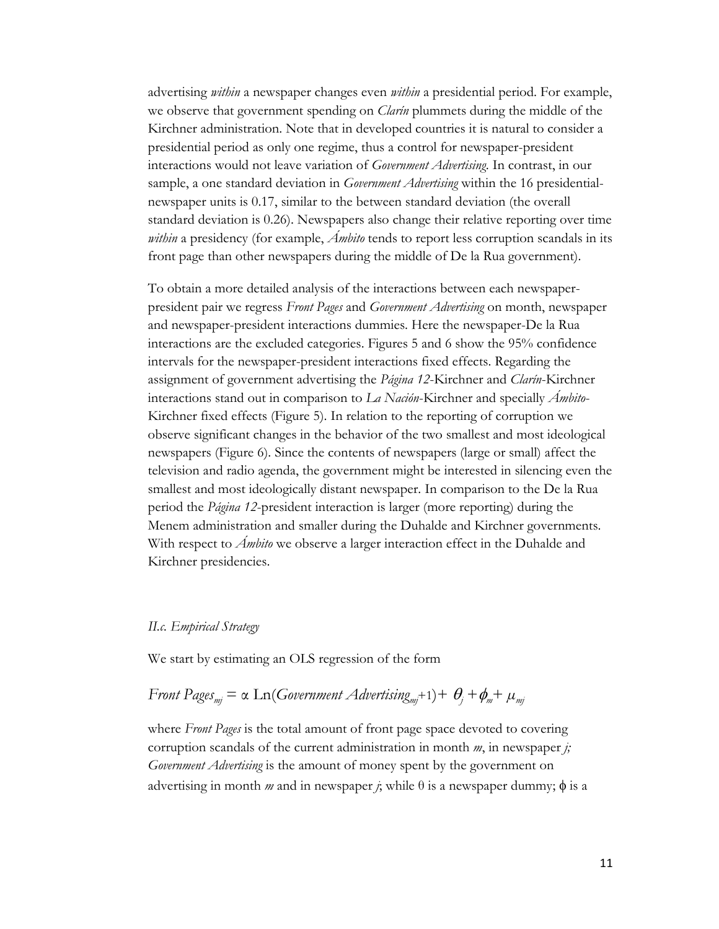advertising *within* a newspaper changes even *within* a presidential period. For example, we observe that government spending on *Clarín* plummets during the middle of the Kirchner administration. Note that in developed countries it is natural to consider a presidential period as only one regime, thus a control for newspaper-president interactions would not leave variation of *Government Advertising*. In contrast, in our sample, a one standard deviation in *Government Advertising* within the 16 presidentialnewspaper units is 0.17, similar to the between standard deviation (the overall standard deviation is 0.26). Newspapers also change their relative reporting over time *within* a presidency (for example, *Ámbito* tends to report less corruption scandals in its front page than other newspapers during the middle of De la Rua government).

To obtain a more detailed analysis of the interactions between each newspaperpresident pair we regress *Front Pages* and *Government Advertising* on month, newspaper and newspaper-president interactions dummies. Here the newspaper-De la Rua interactions are the excluded categories. Figures 5 and 6 show the 95% confidence intervals for the newspaper-president interactions fixed effects. Regarding the assignment of government advertising the *Página 12*-Kirchner and *Clarín*-Kirchner interactions stand out in comparison to *La Nación*-Kirchner and specially *Ámbito*-Kirchner fixed effects (Figure 5). In relation to the reporting of corruption we observe significant changes in the behavior of the two smallest and most ideological newspapers (Figure 6). Since the contents of newspapers (large or small) affect the television and radio agenda, the government might be interested in silencing even the smallest and most ideologically distant newspaper. In comparison to the De la Rua period the *Página 12*-president interaction is larger (more reporting) during the Menem administration and smaller during the Duhalde and Kirchner governments. With respect to *Ámbito* we observe a larger interaction effect in the Duhalde and Kirchner presidencies.

### *II.c. Empirical Strategy*

We start by estimating an OLS regression of the form

# *Front Pages*<sub>mj</sub> = α Ln(*Government Advertising<sub>mj</sub>+1)+*  $\theta_j$ *+* $\phi_m$ *+*  $\mu_m$

where *Front Pages* is the total amount of front page space devoted to covering corruption scandals of the current administration in month *m*, in newspaper *j; Government Advertising* is the amount of money spent by the government on advertising in month *m* and in newspaper *j*; while  $\theta$  is a newspaper dummy;  $\phi$  is a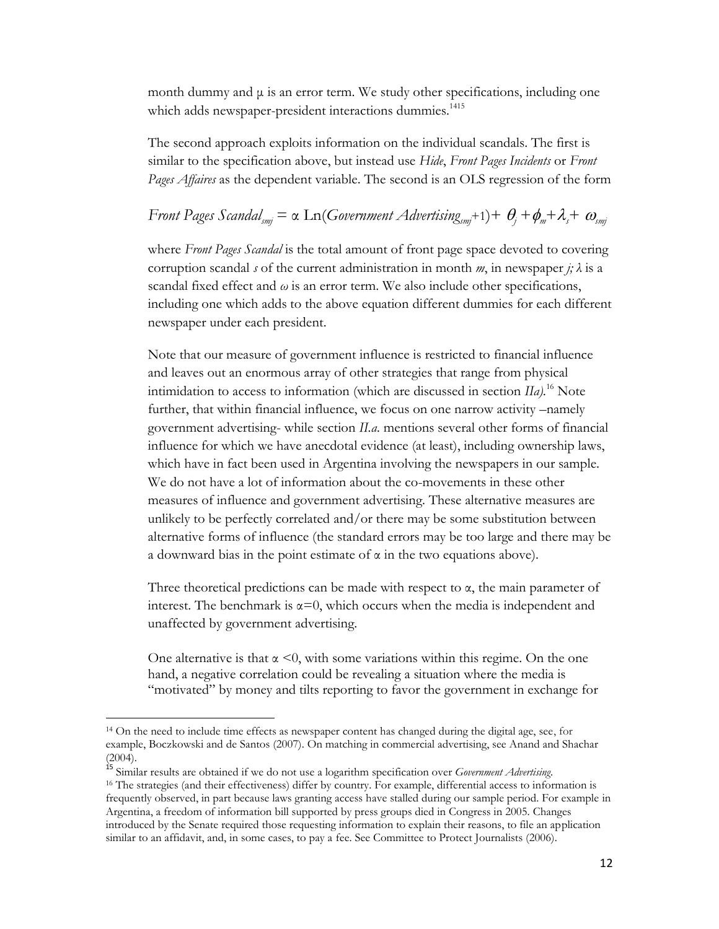month dummy and  $\mu$  is an error term. We study other specifications, including one which adds newspaper-president interactions dummies.<sup>1415</sup>

The second approach exploits information on the individual scandals. The first is similar to the specification above, but instead use *Hide*, *Front Pages Incidents* or *Front Pages Affaires* as the dependent variable. The second is an OLS regression of the form

# *Front Pages Scandal<sub>smi</sub>* =  $\alpha$  Ln(*Government Advertising<sub>smi</sub>+1*)+  $\theta_i + \phi_m + \lambda_j + \omega_{smi}$

where *Front Pages Scandal* is the total amount of front page space devoted to covering corruption scandal *s* of the current administration in month *m*, in newspaper *j*;  $\lambda$  is a scandal fixed effect and  $\omega$  is an error term. We also include other specifications, including one which adds to the above equation different dummies for each different newspaper under each president.

Note that our measure of government influence is restricted to financial influence and leaves out an enormous array of other strategies that range from physical intimidation to access to information (which are discussed in section *IIa).*<sup>16</sup> Note further, that within financial influence, we focus on one narrow activity –namely government advertising- while section *II.a.* mentions several other forms of financial influence for which we have anecdotal evidence (at least), including ownership laws, which have in fact been used in Argentina involving the newspapers in our sample. We do not have a lot of information about the co-movements in these other measures of influence and government advertising. These alternative measures are unlikely to be perfectly correlated and/or there may be some substitution between alternative forms of influence (the standard errors may be too large and there may be a downward bias in the point estimate of  $\alpha$  in the two equations above).

Three theoretical predictions can be made with respect to  $\alpha$ , the main parameter of interest. The benchmark is  $\alpha=0$ , which occurs when the media is independent and unaffected by government advertising.

One alternative is that  $\alpha \leq 0$ , with some variations within this regime. On the one hand, a negative correlation could be revealing a situation where the media is "motivated" by money and tilts reporting to favor the government in exchange for

 $\overline{\phantom{a}}$ 

<sup>14</sup> On the need to include time effects as newspaper content has changed during the digital age, see, for example, Boczkowski and de Santos (2007). On matching in commercial advertising, see Anand and Shachar (2004).

<sup>&</sup>lt;sup>15</sup> Similar results are obtained if we do not use a logarithm specification over *Government Advertising*. <sup>16</sup> The strategies (and their effectiveness) differ by country. For example, differential access to information is frequently observed, in part because laws granting access have stalled during our sample period. For example in Argentina, a freedom of information bill supported by press groups died in Congress in 2005. Changes introduced by the Senate required those requesting information to explain their reasons, to file an application similar to an affidavit, and, in some cases, to pay a fee. See Committee to Protect Journalists (2006).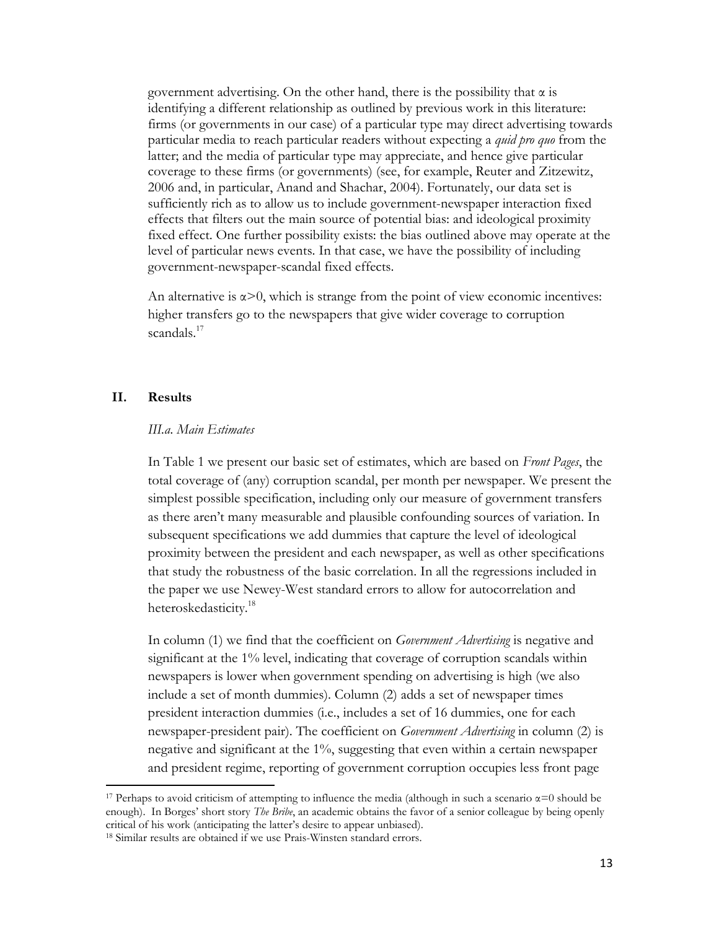government advertising. On the other hand, there is the possibility that  $\alpha$  is identifying a different relationship as outlined by previous work in this literature: firms (or governments in our case) of a particular type may direct advertising towards particular media to reach particular readers without expecting a *quid pro quo* from the latter; and the media of particular type may appreciate, and hence give particular coverage to these firms (or governments) (see, for example, Reuter and Zitzewitz, 2006 and, in particular, Anand and Shachar, 2004). Fortunately, our data set is sufficiently rich as to allow us to include government-newspaper interaction fixed effects that filters out the main source of potential bias: and ideological proximity fixed effect. One further possibility exists: the bias outlined above may operate at the level of particular news events. In that case, we have the possibility of including government-newspaper-scandal fixed effects.

An alternative is  $\alpha > 0$ , which is strange from the point of view economic incentives: higher transfers go to the newspapers that give wider coverage to corruption scandals<sup>17</sup>

## **II. Results**

l

#### *III.a. Main Estimates*

In Table 1 we present our basic set of estimates, which are based on *Front Pages*, the total coverage of (any) corruption scandal, per month per newspaper. We present the simplest possible specification, including only our measure of government transfers as there aren't many measurable and plausible confounding sources of variation. In subsequent specifications we add dummies that capture the level of ideological proximity between the president and each newspaper, as well as other specifications that study the robustness of the basic correlation. In all the regressions included in the paper we use Newey-West standard errors to allow for autocorrelation and heteroskedasticity.<sup>18</sup>

In column (1) we find that the coefficient on *Government Advertising* is negative and significant at the 1% level, indicating that coverage of corruption scandals within newspapers is lower when government spending on advertising is high (we also include a set of month dummies). Column (2) adds a set of newspaper times president interaction dummies (i.e., includes a set of 16 dummies, one for each newspaper-president pair). The coefficient on *Government Advertising* in column (2) is negative and significant at the 1%, suggesting that even within a certain newspaper and president regime, reporting of government corruption occupies less front page

<sup>&</sup>lt;sup>17</sup> Perhaps to avoid criticism of attempting to influence the media (although in such a scenario  $\alpha$ =0 should be enough). In Borges' short story *The Bribe*, an academic obtains the favor of a senior colleague by being openly critical of his work (anticipating the latter's desire to appear unbiased).

<sup>&</sup>lt;sup>18</sup> Similar results are obtained if we use Prais-Winsten standard errors.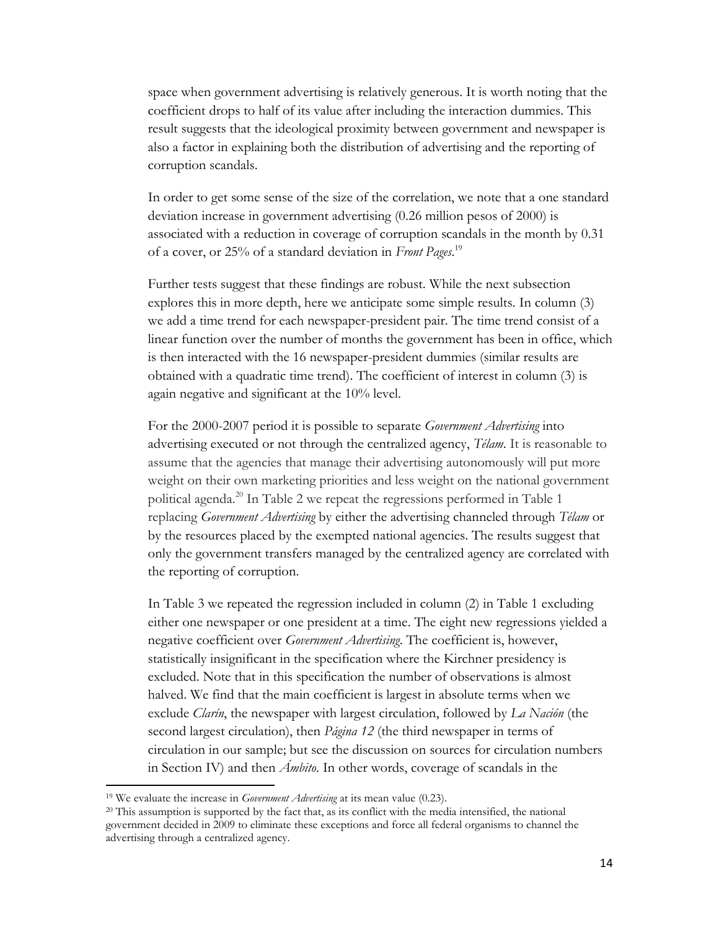space when government advertising is relatively generous. It is worth noting that the coefficient drops to half of its value after including the interaction dummies. This result suggests that the ideological proximity between government and newspaper is also a factor in explaining both the distribution of advertising and the reporting of corruption scandals.

In order to get some sense of the size of the correlation, we note that a one standard deviation increase in government advertising (0.26 million pesos of 2000) is associated with a reduction in coverage of corruption scandals in the month by 0.31 of a cover, or 25% of a standard deviation in *Front Pages*. 19

Further tests suggest that these findings are robust. While the next subsection explores this in more depth, here we anticipate some simple results. In column (3) we add a time trend for each newspaper-president pair. The time trend consist of a linear function over the number of months the government has been in office, which is then interacted with the 16 newspaper-president dummies (similar results are obtained with a quadratic time trend). The coefficient of interest in column (3) is again negative and significant at the 10% level.

For the 2000-2007 period it is possible to separate *Government Advertising* into advertising executed or not through the centralized agency, *Télam*. It is reasonable to assume that the agencies that manage their advertising autonomously will put more weight on their own marketing priorities and less weight on the national government political agenda.<sup>20</sup> In Table 2 we repeat the regressions performed in Table 1 replacing *Government Advertising* by either the advertising channeled through *Télam* or by the resources placed by the exempted national agencies. The results suggest that only the government transfers managed by the centralized agency are correlated with the reporting of corruption.

In Table 3 we repeated the regression included in column (2) in Table 1 excluding either one newspaper or one president at a time. The eight new regressions yielded a negative coefficient over *Government Advertising*. The coefficient is, however, statistically insignificant in the specification where the Kirchner presidency is excluded. Note that in this specification the number of observations is almost halved. We find that the main coefficient is largest in absolute terms when we exclude *Clarín*, the newspaper with largest circulation, followed by *La Nación* (the second largest circulation), then *Página 12* (the third newspaper in terms of circulation in our sample; but see the discussion on sources for circulation numbers in Section IV) and then *Ámbito*. In other words, coverage of scandals in the

l

<sup>19</sup> We evaluate the increase in *Government Advertising* at its mean value (0.23).

 $20$  This assumption is supported by the fact that, as its conflict with the media intensified, the national government decided in 2009 to eliminate these exceptions and force all federal organisms to channel the advertising through a centralized agency.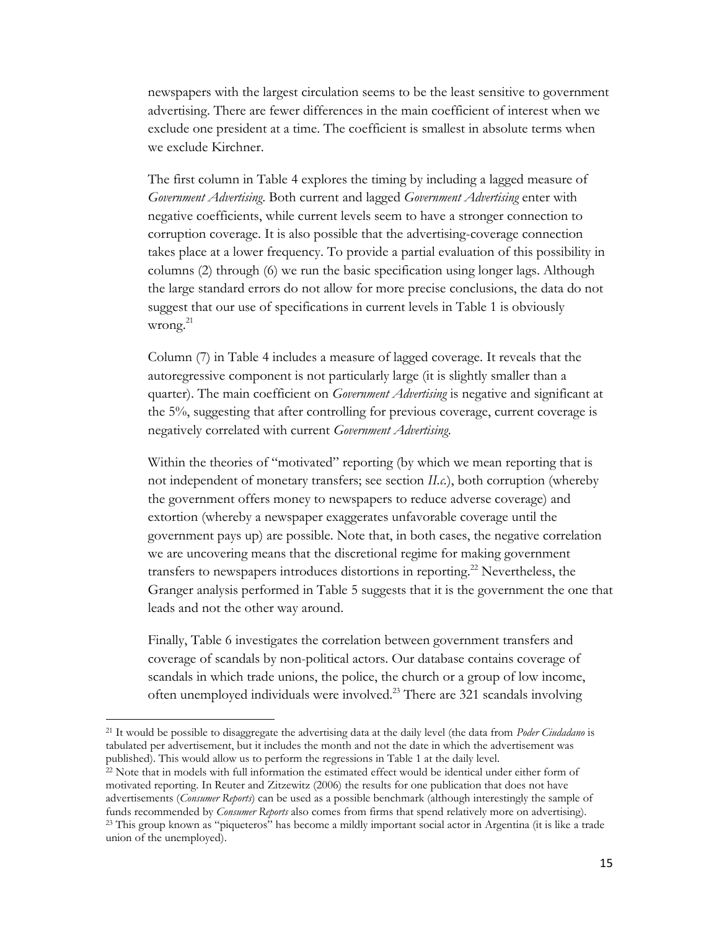newspapers with the largest circulation seems to be the least sensitive to government advertising. There are fewer differences in the main coefficient of interest when we exclude one president at a time. The coefficient is smallest in absolute terms when we exclude Kirchner.

The first column in Table 4 explores the timing by including a lagged measure of *Government Advertising*. Both current and lagged *Government Advertising* enter with negative coefficients, while current levels seem to have a stronger connection to corruption coverage. It is also possible that the advertising-coverage connection takes place at a lower frequency. To provide a partial evaluation of this possibility in columns (2) through (6) we run the basic specification using longer lags. Although the large standard errors do not allow for more precise conclusions, the data do not suggest that our use of specifications in current levels in Table 1 is obviously wrong. $^{21}$ 

Column (7) in Table 4 includes a measure of lagged coverage. It reveals that the autoregressive component is not particularly large (it is slightly smaller than a quarter). The main coefficient on *Government Advertising* is negative and significant at the 5%, suggesting that after controlling for previous coverage, current coverage is negatively correlated with current *Government Advertising*.

Within the theories of "motivated" reporting (by which we mean reporting that is not independent of monetary transfers; see section *II.c.*), both corruption (whereby the government offers money to newspapers to reduce adverse coverage) and extortion (whereby a newspaper exaggerates unfavorable coverage until the government pays up) are possible. Note that, in both cases, the negative correlation we are uncovering means that the discretional regime for making government transfers to newspapers introduces distortions in reporting.<sup>22</sup> Nevertheless, the Granger analysis performed in Table 5 suggests that it is the government the one that leads and not the other way around.

Finally, Table 6 investigates the correlation between government transfers and coverage of scandals by non-political actors. Our database contains coverage of scandals in which trade unions, the police, the church or a group of low income, often unemployed individuals were involved.<sup>23</sup> There are 321 scandals involving

<sup>21</sup> It would be possible to disaggregate the advertising data at the daily level (the data from *Poder Ciudadano* is tabulated per advertisement, but it includes the month and not the date in which the advertisement was published). This would allow us to perform the regressions in Table 1 at the daily level.

 $\overline{a}$ 

<sup>&</sup>lt;sup>22</sup> Note that in models with full information the estimated effect would be identical under either form of motivated reporting. In Reuter and Zitzewitz (2006) the results for one publication that does not have advertisements (*Consumer Reports*) can be used as a possible benchmark (although interestingly the sample of funds recommended by *Consumer Reports* also comes from firms that spend relatively more on advertising). <sup>23</sup> This group known as "piqueteros" has become a mildly important social actor in Argentina (it is like a trade union of the unemployed).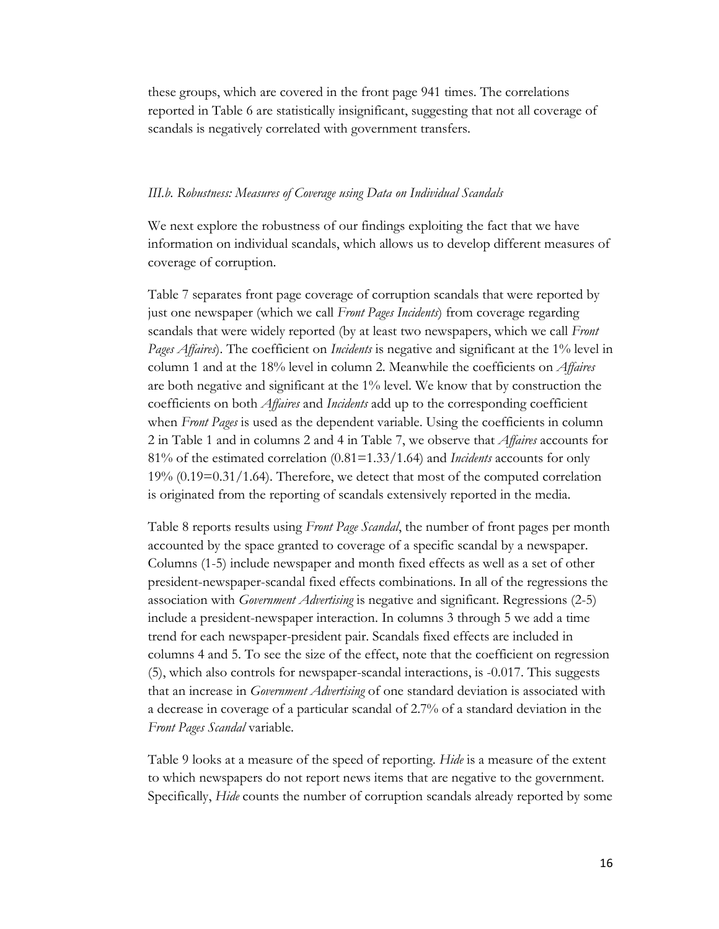these groups, which are covered in the front page 941 times. The correlations reported in Table 6 are statistically insignificant, suggesting that not all coverage of scandals is negatively correlated with government transfers.

### *III.b. Robustness: Measures of Coverage using Data on Individual Scandals*

We next explore the robustness of our findings exploiting the fact that we have information on individual scandals, which allows us to develop different measures of coverage of corruption.

Table 7 separates front page coverage of corruption scandals that were reported by just one newspaper (which we call *Front Pages Incidents*) from coverage regarding scandals that were widely reported (by at least two newspapers, which we call *Front Pages Affaires*). The coefficient on *Incidents* is negative and significant at the 1% level in column 1 and at the 18% level in column 2. Meanwhile the coefficients on *Affaires* are both negative and significant at the 1% level. We know that by construction the coefficients on both *Affaires* and *Incidents* add up to the corresponding coefficient when *Front Pages* is used as the dependent variable. Using the coefficients in column 2 in Table 1 and in columns 2 and 4 in Table 7, we observe that *Affaires* accounts for 81% of the estimated correlation (0.81=1.33/1.64) and *Incidents* accounts for only  $19\%$  (0.19=0.31/1.64). Therefore, we detect that most of the computed correlation is originated from the reporting of scandals extensively reported in the media.

Table 8 reports results using *Front Page Scandal*, the number of front pages per month accounted by the space granted to coverage of a specific scandal by a newspaper. Columns (1-5) include newspaper and month fixed effects as well as a set of other president-newspaper-scandal fixed effects combinations. In all of the regressions the association with *Government Advertising* is negative and significant. Regressions (2-5) include a president-newspaper interaction. In columns 3 through 5 we add a time trend for each newspaper-president pair. Scandals fixed effects are included in columns 4 and 5. To see the size of the effect, note that the coefficient on regression (5), which also controls for newspaper-scandal interactions, is -0.017. This suggests that an increase in *Government Advertising* of one standard deviation is associated with a decrease in coverage of a particular scandal of 2.7% of a standard deviation in the *Front Pages Scandal* variable.

Table 9 looks at a measure of the speed of reporting. *Hide* is a measure of the extent to which newspapers do not report news items that are negative to the government. Specifically, *Hide* counts the number of corruption scandals already reported by some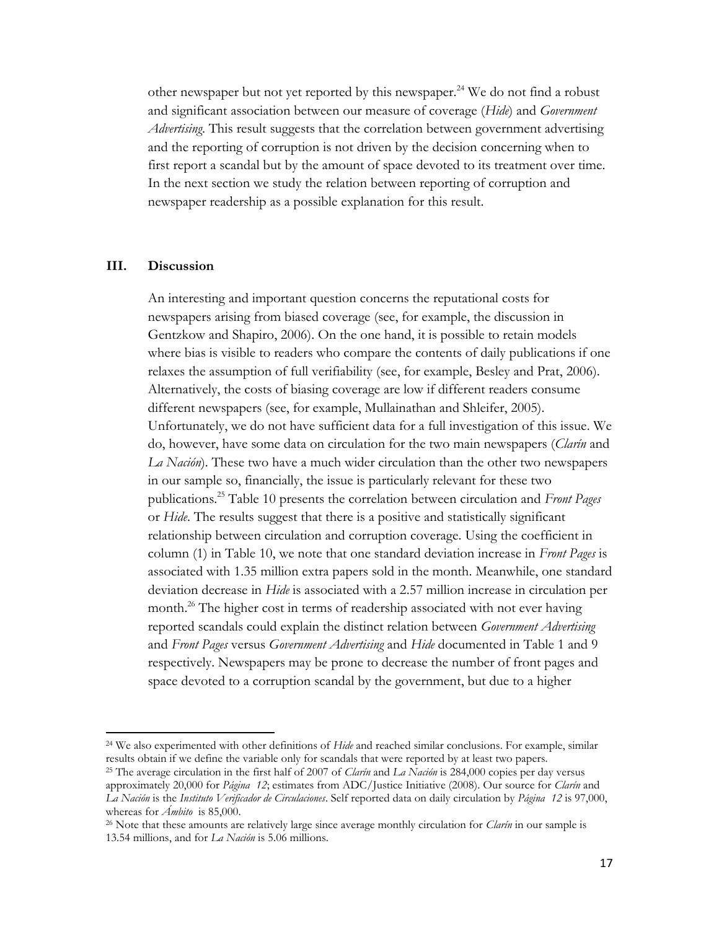other newspaper but not yet reported by this newspaper.<sup>24</sup> We do not find a robust and significant association between our measure of coverage (*Hide*) and *Government Advertising*. This result suggests that the correlation between government advertising and the reporting of corruption is not driven by the decision concerning when to first report a scandal but by the amount of space devoted to its treatment over time. In the next section we study the relation between reporting of corruption and newspaper readership as a possible explanation for this result.

## **III. Discussion**

l

An interesting and important question concerns the reputational costs for newspapers arising from biased coverage (see, for example, the discussion in Gentzkow and Shapiro, 2006). On the one hand, it is possible to retain models where bias is visible to readers who compare the contents of daily publications if one relaxes the assumption of full verifiability (see, for example, Besley and Prat, 2006). Alternatively, the costs of biasing coverage are low if different readers consume different newspapers (see, for example, Mullainathan and Shleifer, 2005). Unfortunately, we do not have sufficient data for a full investigation of this issue. We do, however, have some data on circulation for the two main newspapers (*Clarín* and *La Nación*). These two have a much wider circulation than the other two newspapers in our sample so, financially, the issue is particularly relevant for these two publications.<sup>25</sup> Table 10 presents the correlation between circulation and *Front Pages* or *Hide*. The results suggest that there is a positive and statistically significant relationship between circulation and corruption coverage. Using the coefficient in column (1) in Table 10, we note that one standard deviation increase in *Front Pages* is associated with 1.35 million extra papers sold in the month. Meanwhile, one standard deviation decrease in *Hide* is associated with a 2.57 million increase in circulation per month.<sup>26</sup> The higher cost in terms of readership associated with not ever having reported scandals could explain the distinct relation between *Government Advertising* and *Front Pages* versus *Government Advertising* and *Hide* documented in Table 1 and 9 respectively. Newspapers may be prone to decrease the number of front pages and space devoted to a corruption scandal by the government, but due to a higher

<sup>24</sup> We also experimented with other definitions of *Hide* and reached similar conclusions. For example, similar results obtain if we define the variable only for scandals that were reported by at least two papers.

<sup>25</sup> The average circulation in the first half of 2007 of *Clarín* and *La Nación* is 284,000 copies per day versus approximately 20,000 for *Página 12*; estimates from ADC/Justice Initiative (2008). Our source for *Clarín* and *La Nación* is the *Instituto Verificador de Circulaciones*. Self reported data on daily circulation by *Página 12* is 97,000, whereas for *Ámbito* is 85,000.

<sup>26</sup> Note that these amounts are relatively large since average monthly circulation for *Clarín* in our sample is 13.54 millions, and for *La Nación* is 5.06 millions.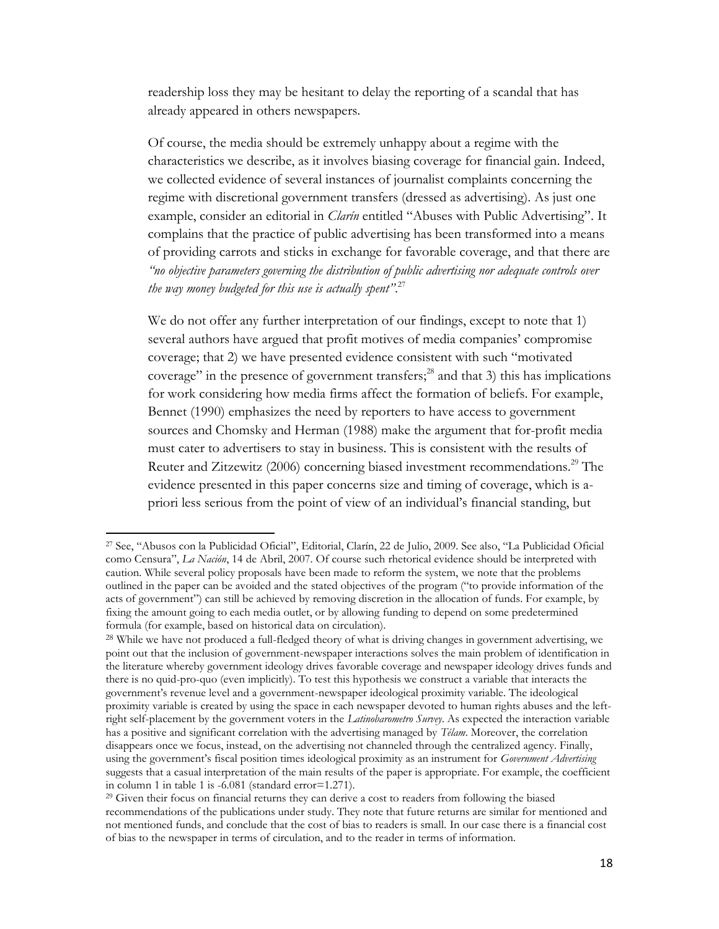readership loss they may be hesitant to delay the reporting of a scandal that has already appeared in others newspapers.

Of course, the media should be extremely unhappy about a regime with the characteristics we describe, as it involves biasing coverage for financial gain. Indeed, we collected evidence of several instances of journalist complaints concerning the regime with discretional government transfers (dressed as advertising). As just one example, consider an editorial in *Clarín* entitled "Abuses with Public Advertising". It complains that the practice of public advertising has been transformed into a means of providing carrots and sticks in exchange for favorable coverage, and that there are *"no objective parameters governing the distribution of public advertising nor adequate controls over the way money budgeted for this use is actually spent"*. 27

We do not offer any further interpretation of our findings, except to note that 1) several authors have argued that profit motives of media companies' compromise coverage; that 2) we have presented evidence consistent with such "motivated coverage" in the presence of government transfers; <sup>28</sup> and that 3) this has implications for work considering how media firms affect the formation of beliefs. For example, Bennet (1990) emphasizes the need by reporters to have access to government sources and Chomsky and Herman (1988) make the argument that for-profit media must cater to advertisers to stay in business. This is consistent with the results of Reuter and Zitzewitz (2006) concerning biased investment recommendations.<sup>29</sup> The evidence presented in this paper concerns size and timing of coverage, which is apriori less serious from the point of view of an individual's financial standing, but

 $\overline{a}$ 

<sup>27</sup> See, "Abusos con la Publicidad Oficial", Editorial, Clarín, 22 de Julio, 2009. See also, "La Publicidad Oficial como Censura", *La Nación*, 14 de Abril, 2007. Of course such rhetorical evidence should be interpreted with caution. While several policy proposals have been made to reform the system, we note that the problems outlined in the paper can be avoided and the stated objectives of the program ("to provide information of the acts of government") can still be achieved by removing discretion in the allocation of funds. For example, by fixing the amount going to each media outlet, or by allowing funding to depend on some predetermined formula (for example, based on historical data on circulation).

<sup>&</sup>lt;sup>28</sup> While we have not produced a full-fledged theory of what is driving changes in government advertising, we point out that the inclusion of government-newspaper interactions solves the main problem of identification in the literature whereby government ideology drives favorable coverage and newspaper ideology drives funds and there is no quid-pro-quo (even implicitly). To test this hypothesis we construct a variable that interacts the government's revenue level and a government-newspaper ideological proximity variable. The ideological proximity variable is created by using the space in each newspaper devoted to human rights abuses and the leftright self-placement by the government voters in the *Latinobarometro Survey*. As expected the interaction variable has a positive and significant correlation with the advertising managed by *Télam*. Moreover, the correlation disappears once we focus, instead, on the advertising not channeled through the centralized agency. Finally, using the government's fiscal position times ideological proximity as an instrument for *Government Advertising* suggests that a casual interpretation of the main results of the paper is appropriate. For example, the coefficient in column 1 in table 1 is -6.081 (standard error=1.271).

<sup>&</sup>lt;sup>29</sup> Given their focus on financial returns they can derive a cost to readers from following the biased recommendations of the publications under study. They note that future returns are similar for mentioned and not mentioned funds, and conclude that the cost of bias to readers is small. In our case there is a financial cost of bias to the newspaper in terms of circulation, and to the reader in terms of information.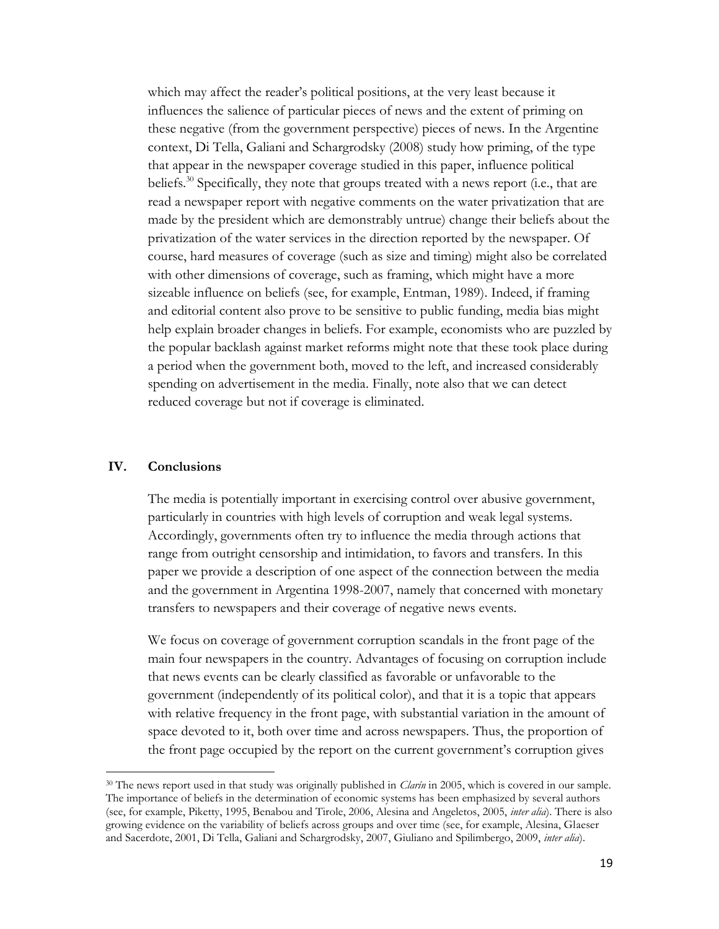which may affect the reader's political positions, at the very least because it influences the salience of particular pieces of news and the extent of priming on these negative (from the government perspective) pieces of news. In the Argentine context, Di Tella, Galiani and Schargrodsky (2008) study how priming, of the type that appear in the newspaper coverage studied in this paper, influence political beliefs.<sup>30</sup> Specifically, they note that groups treated with a news report (i.e., that are read a newspaper report with negative comments on the water privatization that are made by the president which are demonstrably untrue) change their beliefs about the privatization of the water services in the direction reported by the newspaper. Of course, hard measures of coverage (such as size and timing) might also be correlated with other dimensions of coverage, such as framing, which might have a more sizeable influence on beliefs (see, for example, Entman, 1989). Indeed, if framing and editorial content also prove to be sensitive to public funding, media bias might help explain broader changes in beliefs. For example, economists who are puzzled by the popular backlash against market reforms might note that these took place during a period when the government both, moved to the left, and increased considerably spending on advertisement in the media. Finally, note also that we can detect reduced coverage but not if coverage is eliminated.

## **IV. Conclusions**

 $\overline{a}$ 

The media is potentially important in exercising control over abusive government, particularly in countries with high levels of corruption and weak legal systems. Accordingly, governments often try to influence the media through actions that range from outright censorship and intimidation, to favors and transfers. In this paper we provide a description of one aspect of the connection between the media and the government in Argentina 1998-2007, namely that concerned with monetary transfers to newspapers and their coverage of negative news events.

We focus on coverage of government corruption scandals in the front page of the main four newspapers in the country. Advantages of focusing on corruption include that news events can be clearly classified as favorable or unfavorable to the government (independently of its political color), and that it is a topic that appears with relative frequency in the front page, with substantial variation in the amount of space devoted to it, both over time and across newspapers. Thus, the proportion of the front page occupied by the report on the current government's corruption gives

<sup>&</sup>lt;sup>30</sup> The news report used in that study was originally published in *Clarín* in 2005, which is covered in our sample. The importance of beliefs in the determination of economic systems has been emphasized by several authors (see, for example, Piketty, 1995, Benabou and Tirole, 2006, Alesina and Angeletos, 2005, *inter alia*). There is also growing evidence on the variability of beliefs across groups and over time (see, for example, Alesina, Glaeser and Sacerdote, 2001, Di Tella, Galiani and Schargrodsky, 2007, Giuliano and Spilimbergo, 2009, *inter alia*).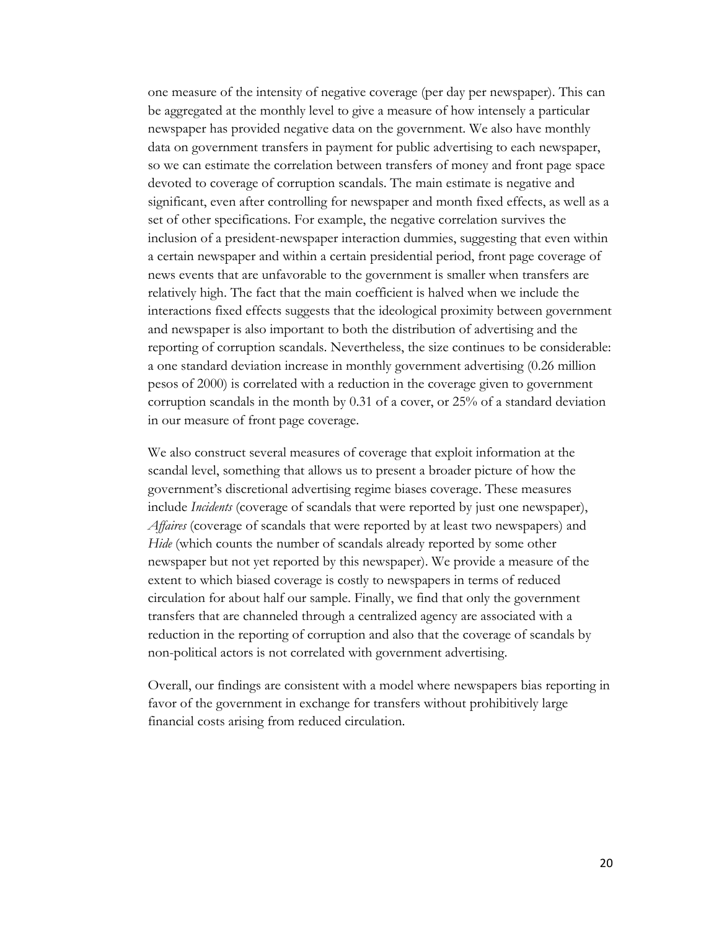one measure of the intensity of negative coverage (per day per newspaper). This can be aggregated at the monthly level to give a measure of how intensely a particular newspaper has provided negative data on the government. We also have monthly data on government transfers in payment for public advertising to each newspaper, so we can estimate the correlation between transfers of money and front page space devoted to coverage of corruption scandals. The main estimate is negative and significant, even after controlling for newspaper and month fixed effects, as well as a set of other specifications. For example, the negative correlation survives the inclusion of a president-newspaper interaction dummies, suggesting that even within a certain newspaper and within a certain presidential period, front page coverage of news events that are unfavorable to the government is smaller when transfers are relatively high. The fact that the main coefficient is halved when we include the interactions fixed effects suggests that the ideological proximity between government and newspaper is also important to both the distribution of advertising and the reporting of corruption scandals. Nevertheless, the size continues to be considerable: a one standard deviation increase in monthly government advertising (0.26 million pesos of 2000) is correlated with a reduction in the coverage given to government corruption scandals in the month by 0.31 of a cover, or 25% of a standard deviation in our measure of front page coverage.

We also construct several measures of coverage that exploit information at the scandal level, something that allows us to present a broader picture of how the government's discretional advertising regime biases coverage. These measures include *Incidents* (coverage of scandals that were reported by just one newspaper), *Affaires* (coverage of scandals that were reported by at least two newspapers) and *Hide* (which counts the number of scandals already reported by some other newspaper but not yet reported by this newspaper). We provide a measure of the extent to which biased coverage is costly to newspapers in terms of reduced circulation for about half our sample. Finally, we find that only the government transfers that are channeled through a centralized agency are associated with a reduction in the reporting of corruption and also that the coverage of scandals by non-political actors is not correlated with government advertising.

Overall, our findings are consistent with a model where newspapers bias reporting in favor of the government in exchange for transfers without prohibitively large financial costs arising from reduced circulation.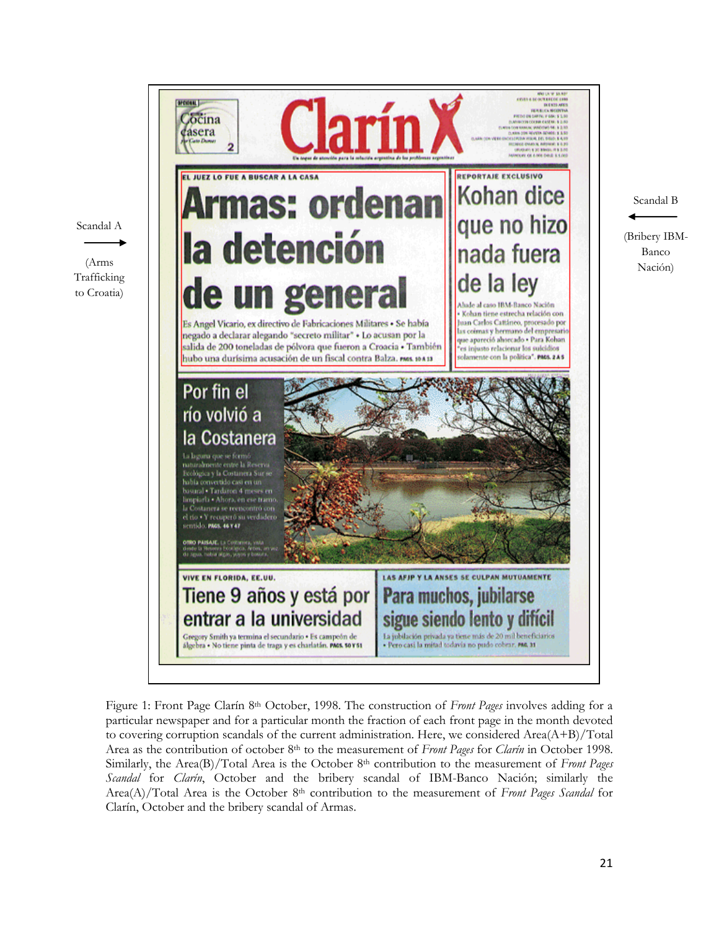

Figure 1: Front Page Clarín 8th October, 1998. The construction of *Front Pages* involves adding for a particular newspaper and for a particular month the fraction of each front page in the month devoted to covering corruption scandals of the current administration. Here, we considered Area $(A+B)/Total$ Area as the contribution of october 8th to the measurement of *Front Pages* for *Clarín* in October 1998. Similarly, the Area(B)/Total Area is the October 8th contribution to the measurement of *Front Pages Scandal* for *Clarín*, October and the bribery scandal of IBM-Banco Nación; similarly the Area(A)/Total Area is the October 8th contribution to the measurement of *Front Pages Scandal* for Clarín, October and the bribery scandal of Armas.

21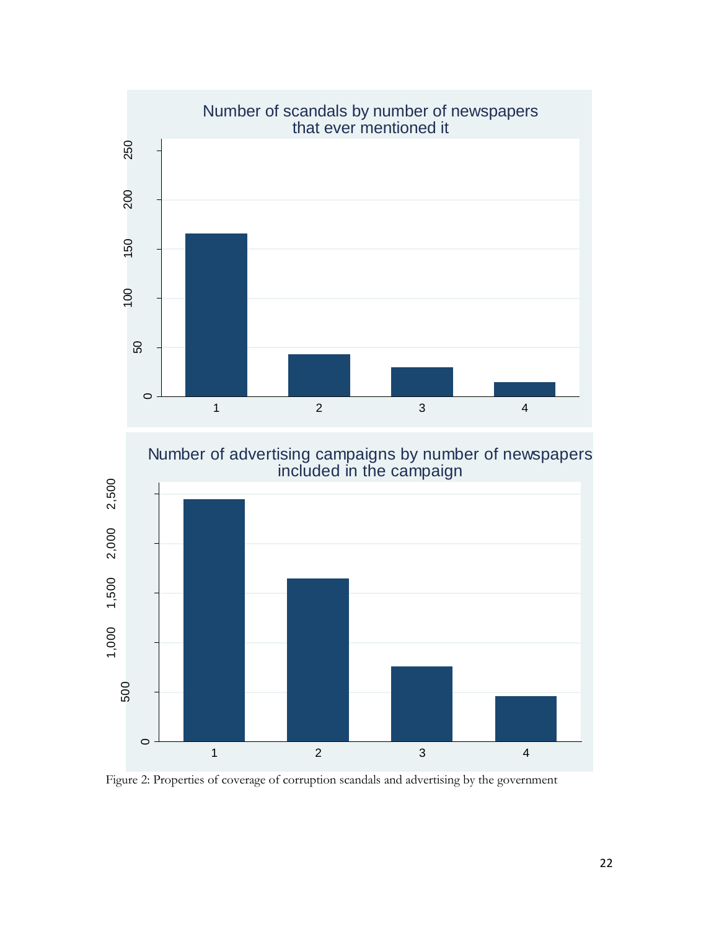

Figure 2: Properties of coverage of corruption scandals and advertising by the government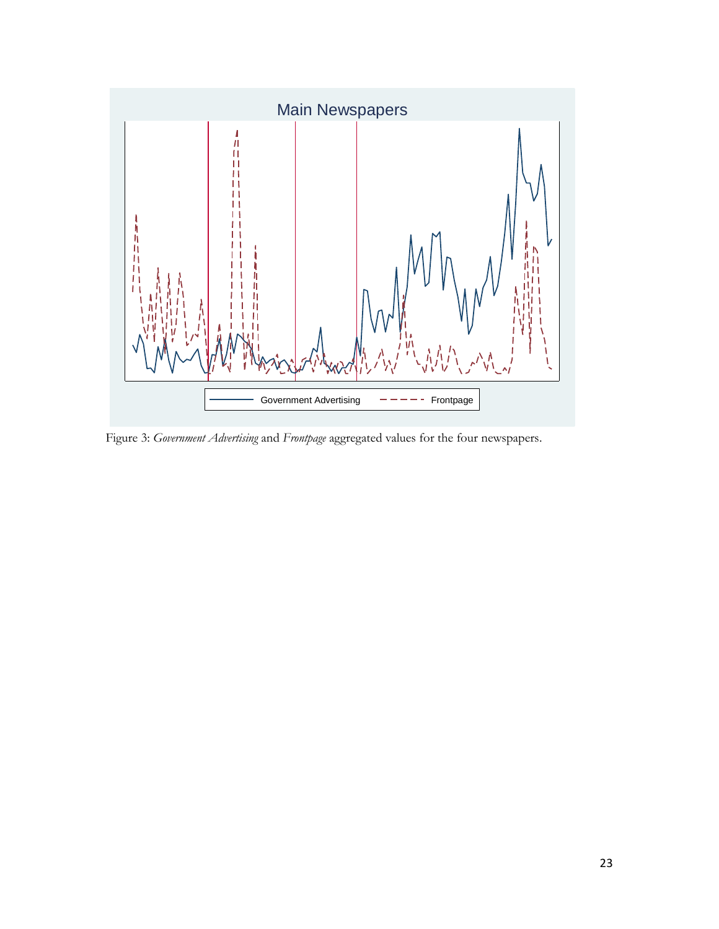

Figure 3: *Government Advertising* and *Frontpage* aggregated values for the four newspapers.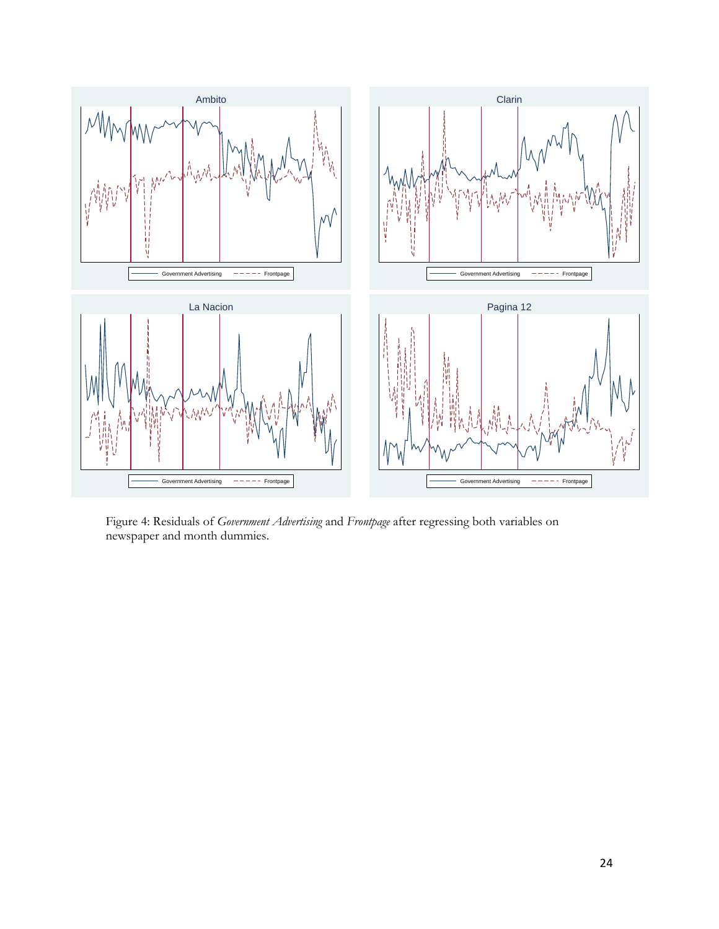

Figure 4: Residuals of *Government Advertising* and *Frontpage* after regressing both variables on newspaper and month dummies.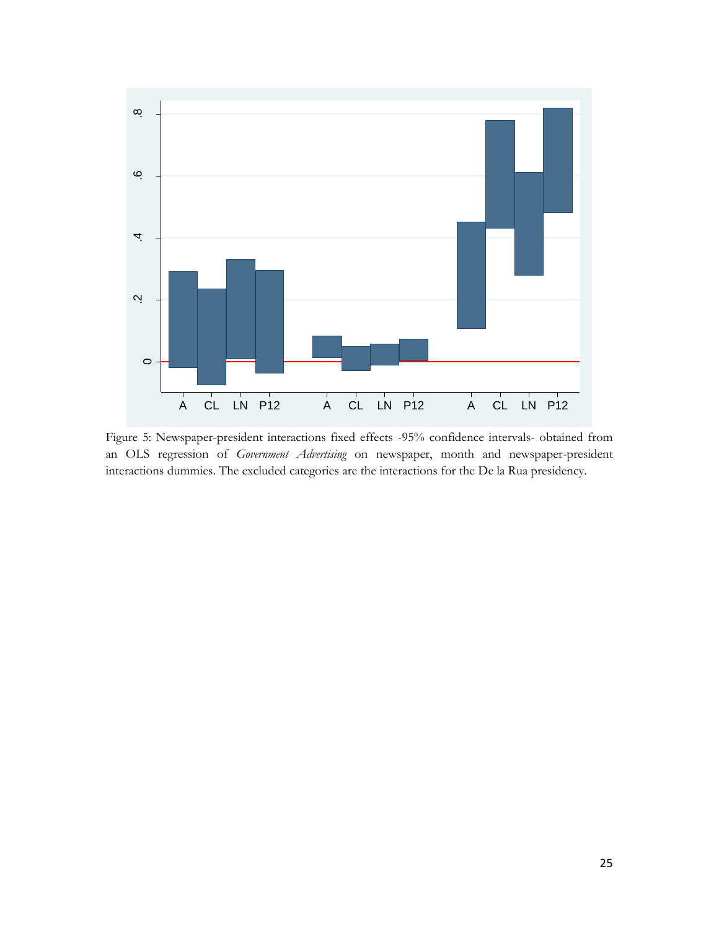

Figure 5: Newspaper-president interactions fixed effects -95% confidence intervals- obtained from an OLS regression of *Government Advertising* on newspaper, month and newspaper-president interactions dummies. The excluded categories are the interactions for the De la Rua presidency.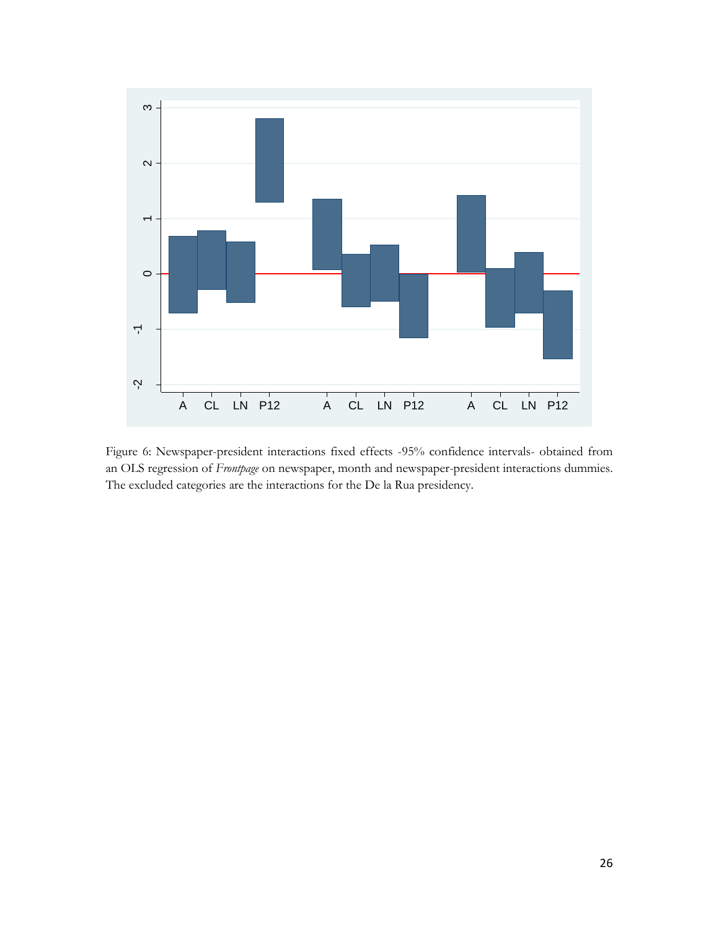

Figure 6: Newspaper-president interactions fixed effects -95% confidence intervals- obtained from an OLS regression of *Frontpage* on newspaper, month and newspaper-president interactions dummies. The excluded categories are the interactions for the De la Rua presidency.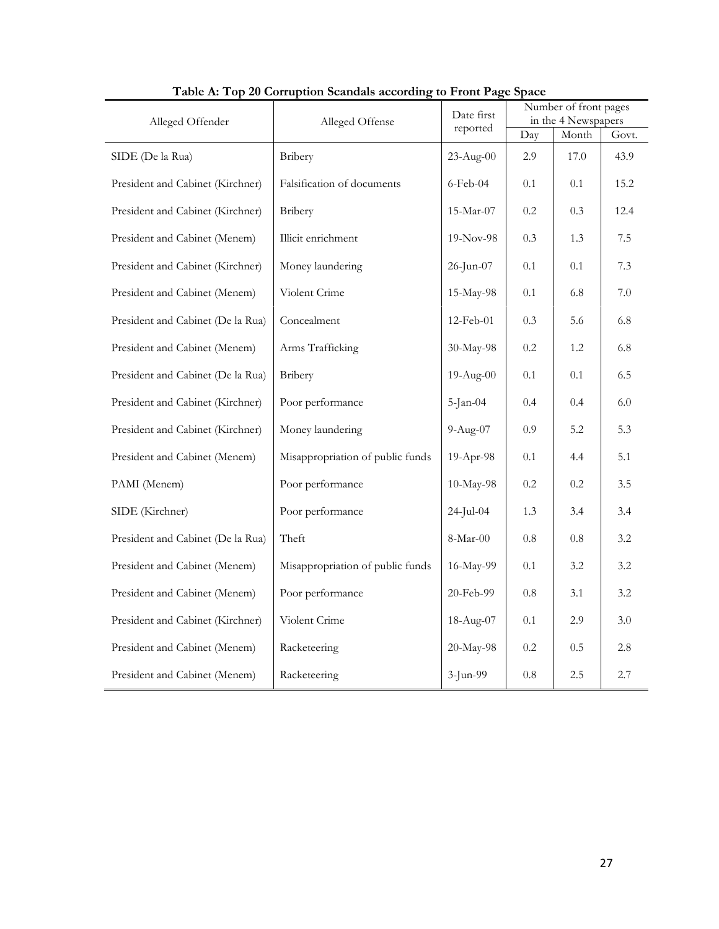| Table A: Top 20 Corruption Scandals according to Front Page Space<br>Alleged Offender<br>Alleged Offense |                                  |              |         | Number of front pages<br>in the 4 Newspapers |         |
|----------------------------------------------------------------------------------------------------------|----------------------------------|--------------|---------|----------------------------------------------|---------|
|                                                                                                          |                                  | reported     | Day     | Month                                        | Govt.   |
| SIDE (De la Rua)                                                                                         | Bribery                          | 23-Aug-00    | 2.9     | 17.0                                         | 43.9    |
| President and Cabinet (Kirchner)                                                                         | Falsification of documents       | $6$ -Feb-04  | 0.1     | 0.1                                          | 15.2    |
| President and Cabinet (Kirchner)                                                                         | Bribery                          | $15$ -Mar-07 | $0.2\,$ | 0.3                                          | 12.4    |
| President and Cabinet (Menem)                                                                            | Illicit enrichment               | 19-Nov-98    | 0.3     | 1.3                                          | 7.5     |
| President and Cabinet (Kirchner)                                                                         | Money laundering                 | $26$ -Jun-07 | 0.1     | 0.1                                          | 7.3     |
| President and Cabinet (Menem)                                                                            | Violent Crime                    | 15-May-98    | 0.1     | 6.8                                          | 7.0     |
| President and Cabinet (De la Rua)                                                                        | Concealment                      | 12-Feb-01    | 0.3     | 5.6                                          | 6.8     |
| President and Cabinet (Menem)                                                                            | Arms Trafficking                 | 30-May-98    | $0.2\,$ | 1.2                                          | 6.8     |
| President and Cabinet (De la Rua)                                                                        | Bribery                          | 19-Aug-00    | 0.1     | 0.1                                          | 6.5     |
| President and Cabinet (Kirchner)                                                                         | Poor performance                 | $5$ -Jan-04  | 0.4     | 0.4                                          | $6.0\,$ |
| President and Cabinet (Kirchner)                                                                         | Money laundering                 | $9-Aug-07$   | 0.9     | 5.2                                          | 5.3     |
| President and Cabinet (Menem)                                                                            | Misappropriation of public funds | 19-Apr-98    | 0.1     | 4.4                                          | 5.1     |
| PAMI (Menem)                                                                                             | Poor performance                 | 10-May-98    | $0.2\,$ | 0.2                                          | 3.5     |
| SIDE (Kirchner)                                                                                          | Poor performance                 | 24-Jul-04    | 1.3     | 3.4                                          | 3.4     |
| President and Cabinet (De la Rua)                                                                        | Theft                            | $8-Mar-00$   | $0.8\,$ | $0.8\,$                                      | 3.2     |
| President and Cabinet (Menem)                                                                            | Misappropriation of public funds | 16-May-99    | 0.1     | 3.2                                          | 3.2     |
| President and Cabinet (Menem)                                                                            | Poor performance                 | 20-Feb-99    | $0.8\,$ | 3.1                                          | 3.2     |
| President and Cabinet (Kirchner)                                                                         | Violent Crime                    | 18-Aug-07    | 0.1     | 2.9                                          | 3.0     |
| President and Cabinet (Menem)                                                                            | Racketeering                     | 20-May-98    | $0.2\,$ | 0.5                                          | 2.8     |
| President and Cabinet (Menem)                                                                            | Racketeering                     | 3-Jun-99     | 0.8     | 2.5                                          | $2.7\,$ |

**Table A: Top 20 Corruption Scandals according to Front Page Space**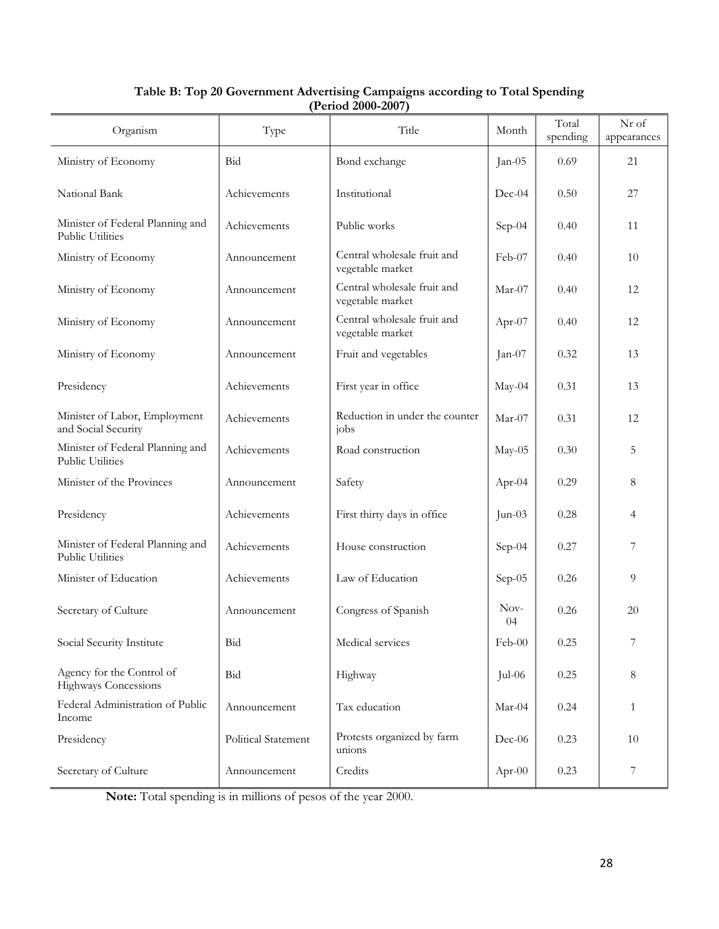| Organism                                                 | Type                | Title                                           | Month      | Total<br>spending | Nr of<br>appearances |
|----------------------------------------------------------|---------------------|-------------------------------------------------|------------|-------------------|----------------------|
| Ministry of Economy                                      | Bid                 | Bond exchange                                   | Jan-05     | 0.69              | 21                   |
| National Bank                                            | Achievements        | Institutional                                   | $Dec-04$   | 0.50              | 27                   |
| Minister of Federal Planning and<br>Public Utilities     | Achievements        | Public works                                    | Sep-04     | 0.40              | 11                   |
| Ministry of Economy                                      | Announcement        | Central wholesale fruit and<br>vegetable market | Feb-07     | 0.40              | 10                   |
| Ministry of Economy                                      | Announcement        | Central wholesale fruit and<br>vegetable market | $Mar-07$   | 0.40              | 12                   |
| Ministry of Economy                                      | Announcement        | Central wholesale fruit and<br>vegetable market | Apr-07     | 0.40              | 12                   |
| Ministry of Economy                                      | Announcement        | Fruit and vegetables                            | $Jan-07$   | 0.32              | 13                   |
| Presidency                                               | Achievements        | First year in office                            | May-04     | 0.31              | 13                   |
| Minister of Labor, Employment<br>and Social Security     | Achievements        | Reduction in under the counter<br>jobs          | $Mar-07$   | 0.31              | 12                   |
| Minister of Federal Planning and<br>Public Utilities     | Achievements        | Road construction                               | May-05     | 0.30              | 5                    |
| Minister of the Provinces                                | Announcement        | Safety                                          | Apr-04     | 0.29              | 8                    |
| Presidency                                               | Achievements        | First thirty days in office                     | $Jun-03$   | 0.28              | 4                    |
| Minister of Federal Planning and<br>Public Utilities     | Achievements        | House construction                              | Sep-04     | 0.27              | 7                    |
| Minister of Education                                    | Achievements        | Law of Education                                | Sep-05     | 0.26              | 9                    |
| Secretary of Culture                                     | Announcement        | Congress of Spanish                             | Nov-<br>04 | 0.26              | 20                   |
| Social Security Institute                                | Bid                 | Medical services                                | Feb-00     | 0.25              |                      |
| Agency for the Control of<br><b>Highways Concessions</b> | Bid                 | Highway                                         | Jul-06     | 0.25              | 8                    |
| Federal Administration of Public<br>Income               | Announcement        | Tax education                                   | $Mar-04$   | 0.24              | 1                    |
| Presidency                                               | Political Statement | Protests organized by farm<br>unions            | $Dec-06$   | 0.23              | 10                   |
| Secretary of Culture                                     | Announcement        | Credits                                         | Apr-00     | 0.23              | 7                    |

# **Table B: Top 20 Government Advertising Campaigns according to Total Spending (Period 2000-2007)**

**Note:** Total spending is in millions of pesos of the year 2000.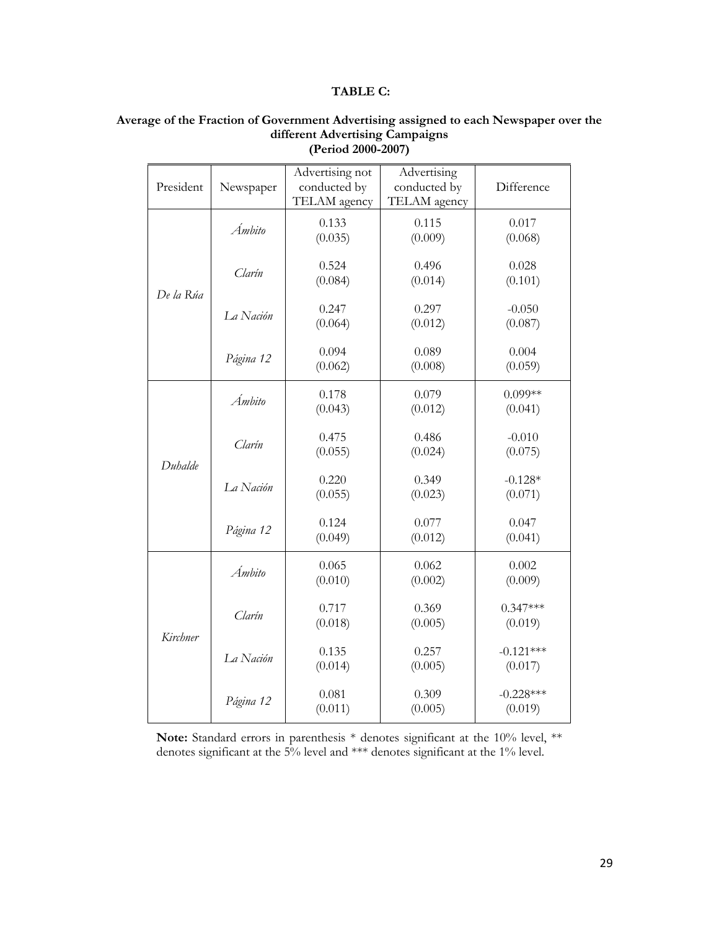## **TABLE C:**

| President | Newspaper | Advertising not<br>conducted by<br>TELAM agency | Advertising<br>conducted by<br>TELAM agency | Difference             |
|-----------|-----------|-------------------------------------------------|---------------------------------------------|------------------------|
|           | Ámbito    | 0.133<br>(0.035)                                | 0.115<br>(0.009)                            | 0.017<br>(0.068)       |
|           | Clarín    | 0.524<br>(0.084)                                | 0.496<br>(0.014)                            | 0.028<br>(0.101)       |
| De la Rúa | La Nación | 0.247<br>(0.064)                                | 0.297<br>(0.012)                            | $-0.050$<br>(0.087)    |
|           | Página 12 | 0.094<br>(0.062)                                | 0.089<br>(0.008)                            | 0.004<br>(0.059)       |
|           | Ámbito    | 0.178<br>(0.043)                                | 0.079<br>(0.012)                            | $0.099**$<br>(0.041)   |
| Duhalde   | Clarín    | 0.475<br>(0.055)                                | 0.486<br>(0.024)                            | $-0.010$<br>(0.075)    |
|           | La Nación | 0.220<br>(0.055)                                | 0.349<br>(0.023)                            | $-0.128*$<br>(0.071)   |
|           | Página 12 | 0.124<br>(0.049)                                | 0.077<br>(0.012)                            | 0.047<br>(0.041)       |
|           | Ámbito    | 0.065<br>(0.010)                                | 0.062<br>(0.002)                            | 0.002<br>(0.009)       |
| Kirchner  | Clarín    | 0.717<br>(0.018)                                | 0.369<br>(0.005)                            | $0.347***$<br>(0.019)  |
|           | La Nación | 0.135<br>(0.014)                                | 0.257<br>(0.005)                            | $-0.121***$<br>(0.017) |
|           | Página 12 | 0.081<br>(0.011)                                | 0.309<br>(0.005)                            | $-0.228***$<br>(0.019) |

## **Average of the Fraction of Government Advertising assigned to each Newspaper over the different Advertising Campaigns (Period 2000-2007)**

Note: Standard errors in parenthesis \* denotes significant at the 10% level, \*\* denotes significant at the 5% level and \*\*\* denotes significant at the 1% level.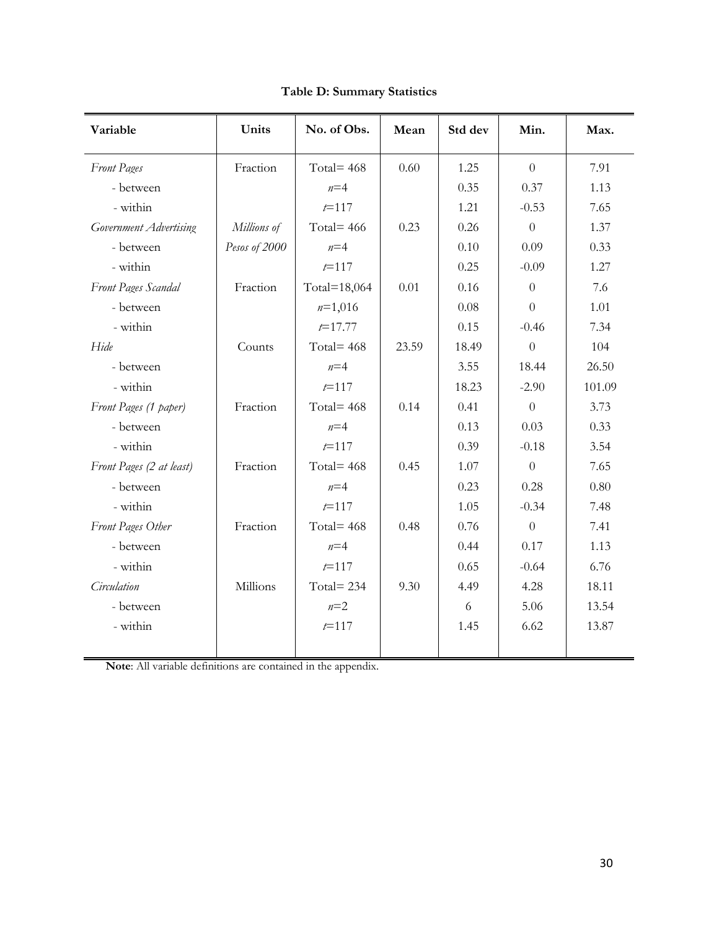| Variable                 | Units         | No. of Obs.  | Mean  | Std dev | Min.           | Max.   |
|--------------------------|---------------|--------------|-------|---------|----------------|--------|
| <b>Front Pages</b>       | Fraction      | Total= $468$ | 0.60  | 1.25    | $\theta$       | 7.91   |
| - between                |               | $n=4$        |       | 0.35    | 0.37           | 1.13   |
| - within                 |               | $t = 117$    |       | 1.21    | $-0.53$        | 7.65   |
| Government Advertising   | Millions of   | Total= $466$ | 0.23  | 0.26    | $\overline{0}$ | 1.37   |
| - between                | Pesos of 2000 | $n=4$        |       | 0.10    | 0.09           | 0.33   |
| - within                 |               | $t = 117$    |       | 0.25    | $-0.09$        | 1.27   |
| Front Pages Scandal      | Fraction      | Total=18,064 | 0.01  | 0.16    | $\theta$       | 7.6    |
| - between                |               | $n=1,016$    |       | 0.08    | $\theta$       | 1.01   |
| - within                 |               | $t = 17.77$  |       | 0.15    | $-0.46$        | 7.34   |
| Hide                     | Counts        | Total= $468$ | 23.59 | 18.49   | $\theta$       | 104    |
| - between                |               | $n=4$        |       | 3.55    | 18.44          | 26.50  |
| - within                 |               | $t = 117$    |       | 18.23   | $-2.90$        | 101.09 |
| Front Pages (1 paper)    | Fraction      | Total= $468$ | 0.14  | 0.41    | $\overline{0}$ | 3.73   |
| - between                |               | $n=4$        |       | 0.13    | 0.03           | 0.33   |
| - within                 |               | $t = 117$    |       | 0.39    | $-0.18$        | 3.54   |
| Front Pages (2 at least) | Fraction      | Total= $468$ | 0.45  | 1.07    | $\theta$       | 7.65   |
| - between                |               | $n=4$        |       | 0.23    | 0.28           | 0.80   |
| - within                 |               | $t = 117$    |       | 1.05    | $-0.34$        | 7.48   |
| Front Pages Other        | Fraction      | Total= $468$ | 0.48  | 0.76    | $\overline{0}$ | 7.41   |
| - between                |               | $n=4$        |       | 0.44    | 0.17           | 1.13   |
| - within                 |               | $t = 117$    |       | 0.65    | $-0.64$        | 6.76   |
| Circulation              | Millions      | Total= $234$ | 9.30  | 4.49    | 4.28           | 18.11  |
| - between                |               | $n=2$        |       | 6       | 5.06           | 13.54  |
| - within                 |               | $t = 117$    |       | 1.45    | 6.62           | 13.87  |
|                          |               |              |       |         |                |        |

**Table D: Summary Statistics**

**Note**: All variable definitions are contained in the appendix.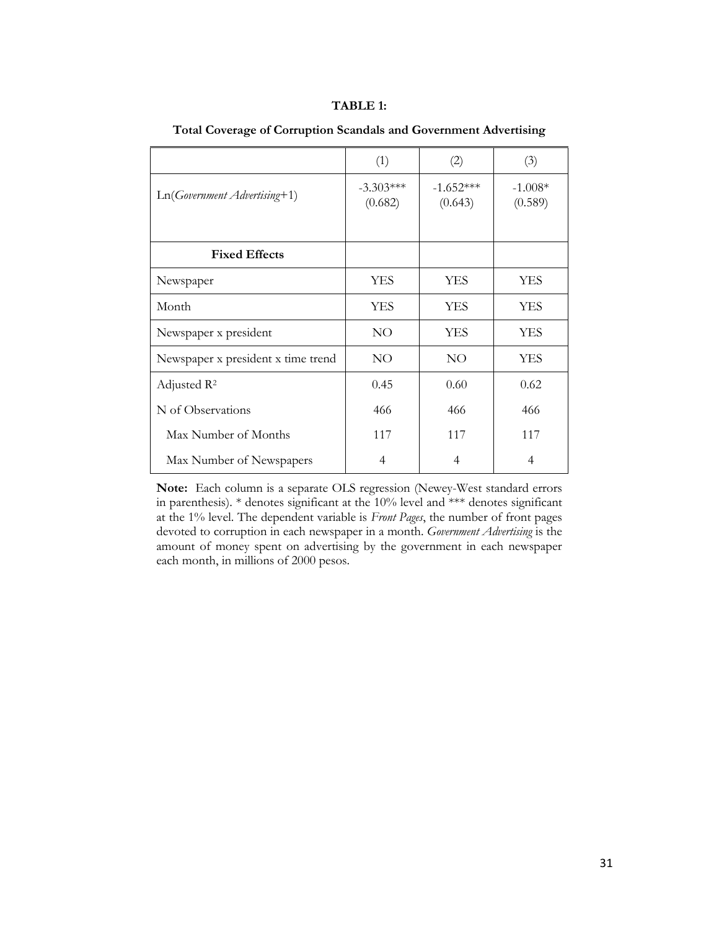## **TABLE 1:**

|                                    | (1)                    | (2)                    | (3)                  |
|------------------------------------|------------------------|------------------------|----------------------|
| $Ln(Government \,Adverting+1)$     | $-3.303***$<br>(0.682) | $-1.652***$<br>(0.643) | $-1.008*$<br>(0.589) |
|                                    |                        |                        |                      |
| <b>Fixed Effects</b>               |                        |                        |                      |
| Newspaper                          | <b>YES</b>             | <b>YES</b>             | <b>YES</b>           |
| Month                              | <b>YES</b>             | YES                    | <b>YES</b>           |
| Newspaper x president              | NO <sub>1</sub>        | YES                    | <b>YES</b>           |
| Newspaper x president x time trend | NO.                    | NO.                    | <b>YES</b>           |
| Adjusted $\mathbb{R}^2$            | 0.45                   | 0.60                   | 0.62                 |
| N of Observations                  | 466                    | 466                    | 466                  |
| Max Number of Months               | 117                    | 117                    | 117                  |
| Max Number of Newspapers           | 4                      | 4                      | 4                    |

**Total Coverage of Corruption Scandals and Government Advertising** 

**Note:** Each column is a separate OLS regression (Newey-West standard errors in parenthesis). \* denotes significant at the 10% level and \*\*\* denotes significant at the 1% level. The dependent variable is *Front Pages*, the number of front pages devoted to corruption in each newspaper in a month. *Government Advertising* is the amount of money spent on advertising by the government in each newspaper each month, in millions of 2000 pesos.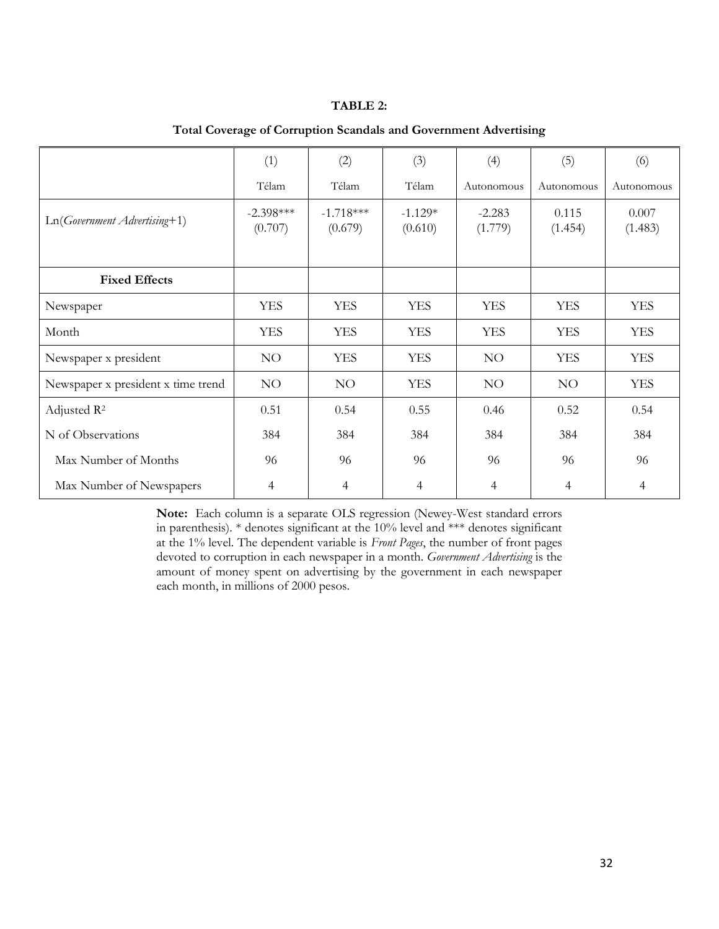## **TABLE 2:**

|                                    | (1)                    | (2)                    | (3)                  | (4)                 | (5)              | (6)              |
|------------------------------------|------------------------|------------------------|----------------------|---------------------|------------------|------------------|
|                                    | Télam                  | Télam                  | Télam                | Autonomous          | Autonomous       | Autonomous       |
| Ln(Government Advertising+1)       | $-2.398***$<br>(0.707) | $-1.718***$<br>(0.679) | $-1.129*$<br>(0.610) | $-2.283$<br>(1.779) | 0.115<br>(1.454) | 0.007<br>(1.483) |
| <b>Fixed Effects</b>               |                        |                        |                      |                     |                  |                  |
| Newspaper                          | <b>YES</b>             | <b>YES</b>             | <b>YES</b>           | <b>YES</b>          | <b>YES</b>       | <b>YES</b>       |
| Month                              | <b>YES</b>             | <b>YES</b>             | <b>YES</b>           | <b>YES</b>          | <b>YES</b>       | <b>YES</b>       |
| Newspaper x president              | NO                     | <b>YES</b>             | <b>YES</b>           | NO.                 | <b>YES</b>       | <b>YES</b>       |
| Newspaper x president x time trend | NO                     | NO <sub>1</sub>        | <b>YES</b>           | NO.                 | NO <sub>1</sub>  | <b>YES</b>       |
| Adjusted R <sup>2</sup>            | 0.51                   | 0.54                   | 0.55                 | 0.46                | 0.52             | 0.54             |
| N of Observations                  | 384                    | 384                    | 384                  | 384                 | 384              | 384              |
| Max Number of Months               | 96                     | 96                     | 96                   | 96                  | 96               | 96               |
| Max Number of Newspapers           | 4                      | 4                      | $\overline{4}$       | 4                   | 4                | $\overline{4}$   |

**Total Coverage of Corruption Scandals and Government Advertising** 

**Note:** Each column is a separate OLS regression (Newey-West standard errors in parenthesis). \* denotes significant at the 10% level and \*\*\* denotes significant at the 1% level. The dependent variable is *Front Pages*, the number of front pages devoted to corruption in each newspaper in a month. *Government Advertising* is the amount of money spent on advertising by the government in each newspaper each month, in millions of 2000 pesos.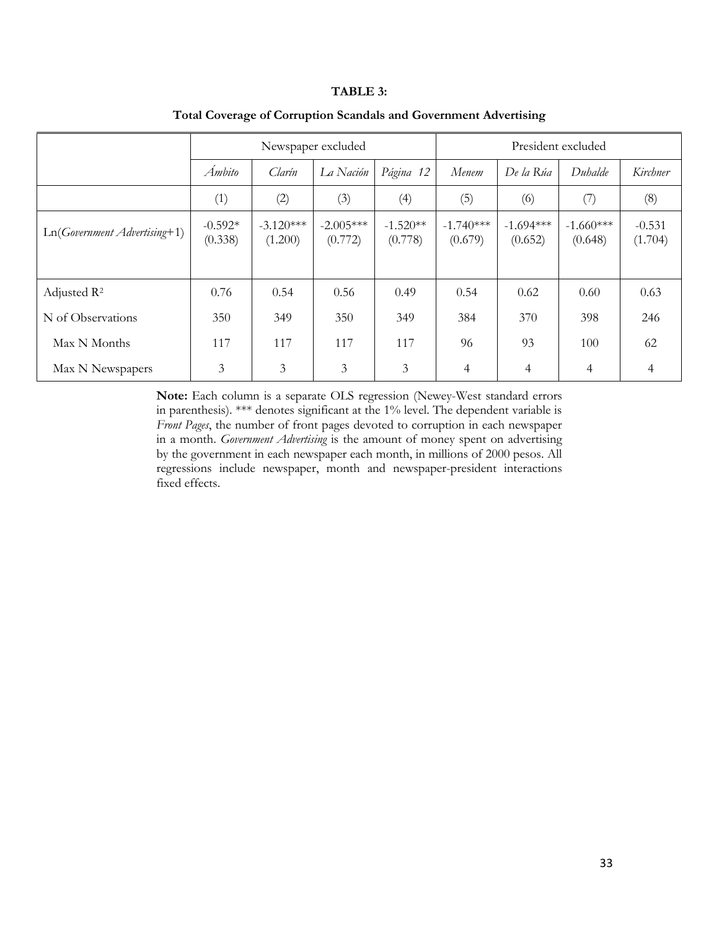### **TABLE 3:**

|                                | Newspaper excluded   |                        |                        |                       |                        | President excluded     |                        |                     |  |
|--------------------------------|----------------------|------------------------|------------------------|-----------------------|------------------------|------------------------|------------------------|---------------------|--|
|                                | Ámbito               | Clarín                 | La Nación              | Página 12             | Menem                  | De la Rúa              | Duhalde                | Kirchner            |  |
|                                | (1)                  | (2)                    | (3)                    | (4)                   | (5)                    | (6)                    | (7)                    | (8)                 |  |
| $Ln(Government \,Adverting+1)$ | $-0.592*$<br>(0.338) | $-3.120***$<br>(1.200) | $-2.005***$<br>(0.772) | $-1.520**$<br>(0.778) | $-1.740***$<br>(0.679) | $-1.694***$<br>(0.652) | $-1.660***$<br>(0.648) | $-0.531$<br>(1.704) |  |
| Adjusted R <sup>2</sup>        | 0.76                 | 0.54                   | 0.56                   | 0.49                  | 0.54                   | 0.62                   | 0.60                   | 0.63                |  |
| N of Observations              | 350                  | 349                    | 350                    | 349                   | 384                    | 370                    | 398                    | 246                 |  |
| Max N Months                   | 117                  | 117                    | 117                    | 117                   | 96                     | 93                     | 100                    | 62                  |  |
| Max N Newspapers               | 3                    | 3                      | 3                      | 3                     | $\overline{4}$         | 4                      | 4                      | 4                   |  |

## **Total Coverage of Corruption Scandals and Government Advertising**

**Note:** Each column is a separate OLS regression (Newey-West standard errors in parenthesis). \*\*\* denotes significant at the 1% level. The dependent variable is *Front Pages*, the number of front pages devoted to corruption in each newspaper in a month. *Government Advertising* is the amount of money spent on advertising by the government in each newspaper each month, in millions of 2000 pesos. All regressions include newspaper, month and newspaper-president interactions fixed effects.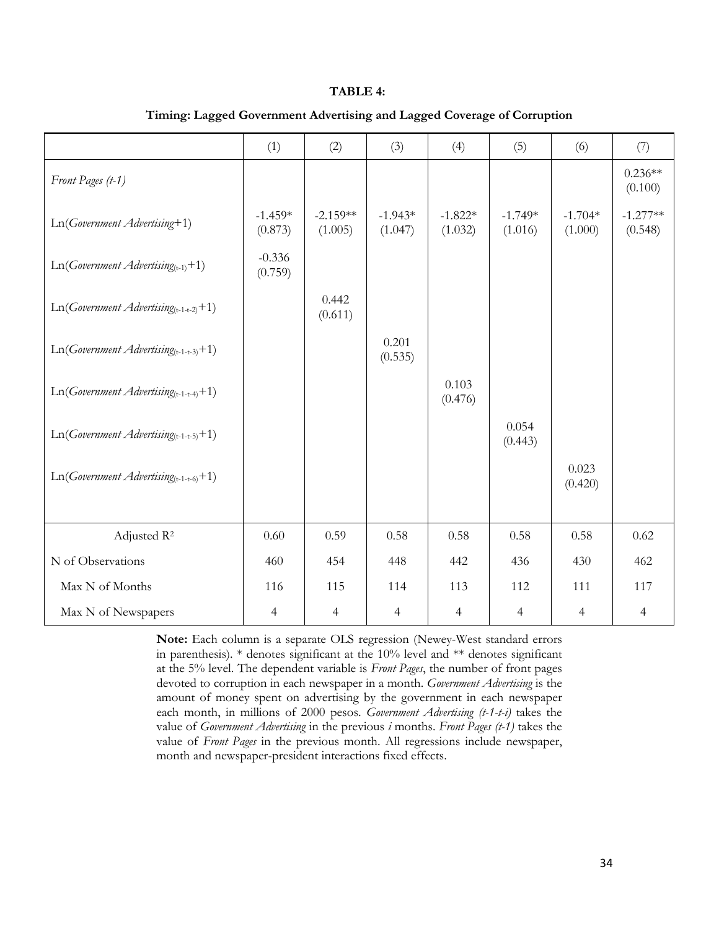### **TABLE 4:**

|                                            | (1)                  | (2)                   | (3)                  | (4)                  | (5)                  | (6)                  | (7)                   |
|--------------------------------------------|----------------------|-----------------------|----------------------|----------------------|----------------------|----------------------|-----------------------|
| Front Pages (t-1)                          |                      |                       |                      |                      |                      |                      | $0.236**$<br>(0.100)  |
| Ln(Government Advertising+1)               | $-1.459*$<br>(0.873) | $-2.159**$<br>(1.005) | $-1.943*$<br>(1.047) | $-1.822*$<br>(1.032) | $-1.749*$<br>(1.016) | $-1.704*$<br>(1.000) | $-1.277**$<br>(0.548) |
| $Ln(Goverment\,Advertising_{(t-1)}+1)$     | $-0.336$<br>(0.759)  |                       |                      |                      |                      |                      |                       |
| $Ln(Government \,Adverting_{(t-1-t-2)}+1)$ |                      | 0.442<br>(0.611)      |                      |                      |                      |                      |                       |
| $Ln(Government \,Adverting_{(t-1-t-3)}+1)$ |                      |                       | 0.201<br>(0.535)     |                      |                      |                      |                       |
| $Ln(Government \,Adverting_{(t-1-t-4)}+1)$ |                      |                       |                      | 0.103<br>(0.476)     |                      |                      |                       |
| $Ln(Government \,Adverting_{(t-1-t-5)}+1)$ |                      |                       |                      |                      | 0.054<br>(0.443)     |                      |                       |
| $Ln(Government \,Adverting_{(t-1-t-6)}+1)$ |                      |                       |                      |                      |                      | 0.023<br>(0.420)     |                       |
| Adjusted R <sup>2</sup>                    | 0.60                 | 0.59                  | 0.58                 | 0.58                 | 0.58                 | 0.58                 | 0.62                  |
| N of Observations                          | 460                  | 454                   | 448                  | 442                  | 436                  | 430                  | 462                   |
| Max N of Months                            | 116                  | 115                   | 114                  | 113                  | 112                  | 111                  | 117                   |
| Max N of Newspapers                        | $\overline{4}$       | $\overline{4}$        | $\overline{4}$       | $\overline{4}$       | $\overline{4}$       | $\overline{4}$       | $\overline{4}$        |

## **Timing: Lagged Government Advertising and Lagged Coverage of Corruption**

**Note:** Each column is a separate OLS regression (Newey-West standard errors in parenthesis). \* denotes significant at the 10% level and \*\* denotes significant at the 5% level. The dependent variable is *Front Pages*, the number of front pages devoted to corruption in each newspaper in a month. *Government Advertising* is the amount of money spent on advertising by the government in each newspaper each month, in millions of 2000 pesos. *Government Advertising (t-1-t-i)* takes the value of *Government Advertising* in the previous *i* months. *Front Pages (t-1)* takes the value of *Front Pages* in the previous month. All regressions include newspaper, month and newspaper-president interactions fixed effects.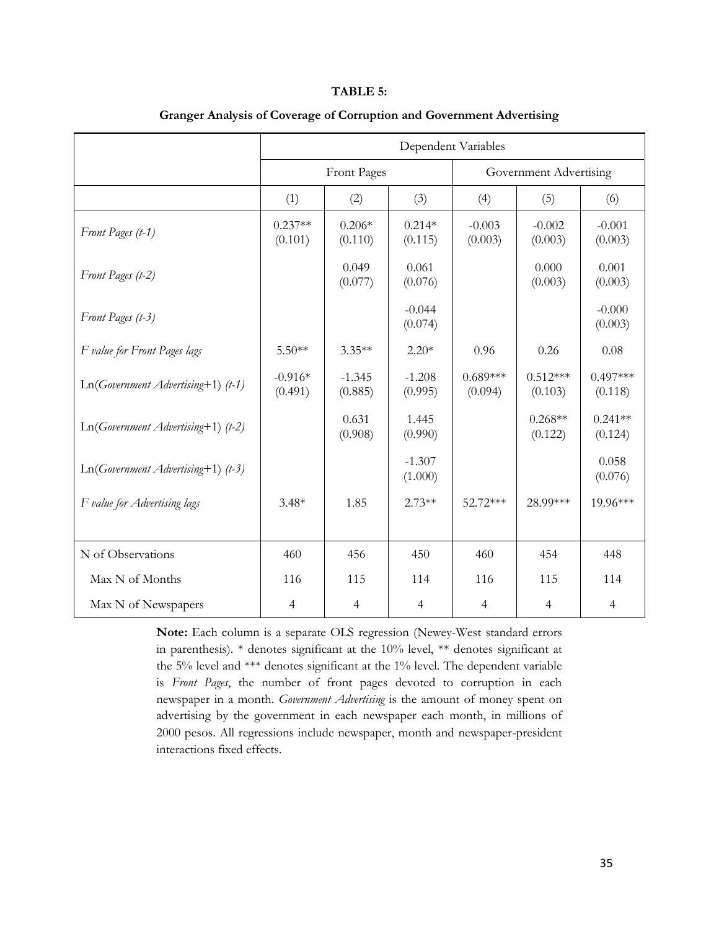### **TABLE 5:**

|                                      | Dependent Variables  |                     |                     |                       |                        |                       |  |  |
|--------------------------------------|----------------------|---------------------|---------------------|-----------------------|------------------------|-----------------------|--|--|
|                                      |                      | Front Pages         |                     |                       | Government Advertising |                       |  |  |
|                                      | (1)                  | (2)                 | (3)                 | (4)                   | (5)                    | (6)                   |  |  |
| Front Pages (t-1)                    | $0.237**$<br>(0.101) | $0.206*$<br>(0.110) | $0.214*$<br>(0.115) | $-0.003$<br>(0.003)   | $-0.002$<br>(0.003)    | $-0.001$<br>(0.003)   |  |  |
| Front Pages (t-2)                    |                      | 0.049<br>(0.077)    | 0.061<br>(0.076)    |                       | 0.000<br>(0.003)       | 0.001<br>(0.003)      |  |  |
| Front Pages (t-3)                    |                      |                     | $-0.044$<br>(0.074) |                       |                        | $-0.000$<br>(0.003)   |  |  |
| F value for Front Pages lags         | $5.50**$             | $3.35**$            | $2.20*$             | 0.96                  | 0.26                   | 0.08                  |  |  |
| $Ln(Government \,Adverting+1)$ (t-1) | $-0.916*$<br>(0.491) | $-1.345$<br>(0.885) | $-1.208$<br>(0.995) | $0.689***$<br>(0.094) | $0.512***$<br>(0.103)  | $0.497***$<br>(0.118) |  |  |
| $Ln(Government \,Adverting+1)$ (t-2) |                      | 0.631<br>(0.908)    | 1.445<br>(0.990)    |                       | $0.268**$<br>(0.122)   | $0.241**$<br>(0.124)  |  |  |
| $Ln(Government \,Adverting+1)$ (t-3) |                      |                     | $-1.307$<br>(1.000) |                       |                        | 0.058<br>(0.076)      |  |  |
| F value for Advertising lags         | $3.48*$              | 1.85                | $2.73**$            | 52.72***              | 28.99***               | 19.96***              |  |  |
| N of Observations                    | 460                  | 456                 | 450                 | 460                   | 454                    | 448                   |  |  |
| Max N of Months                      | 116                  | 115                 | 114                 | 116                   | 115                    | 114                   |  |  |
| Max N of Newspapers                  | $\overline{4}$       | $\overline{4}$      | $\overline{4}$      | $\overline{4}$        | $\overline{4}$         | $\overline{4}$        |  |  |

## **Granger Analysis of Coverage of Corruption and Government Advertising**

**Note:** Each column is a separate OLS regression (Newey-West standard errors in parenthesis). \* denotes significant at the 10% level, \*\* denotes significant at the 5% level and \*\*\* denotes significant at the 1% level. The dependent variable is *Front Pages*, the number of front pages devoted to corruption in each newspaper in a month. *Government Advertising* is the amount of money spent on advertising by the government in each newspaper each month, in millions of 2000 pesos. All regressions include newspaper, month and newspaper-president interactions fixed effects.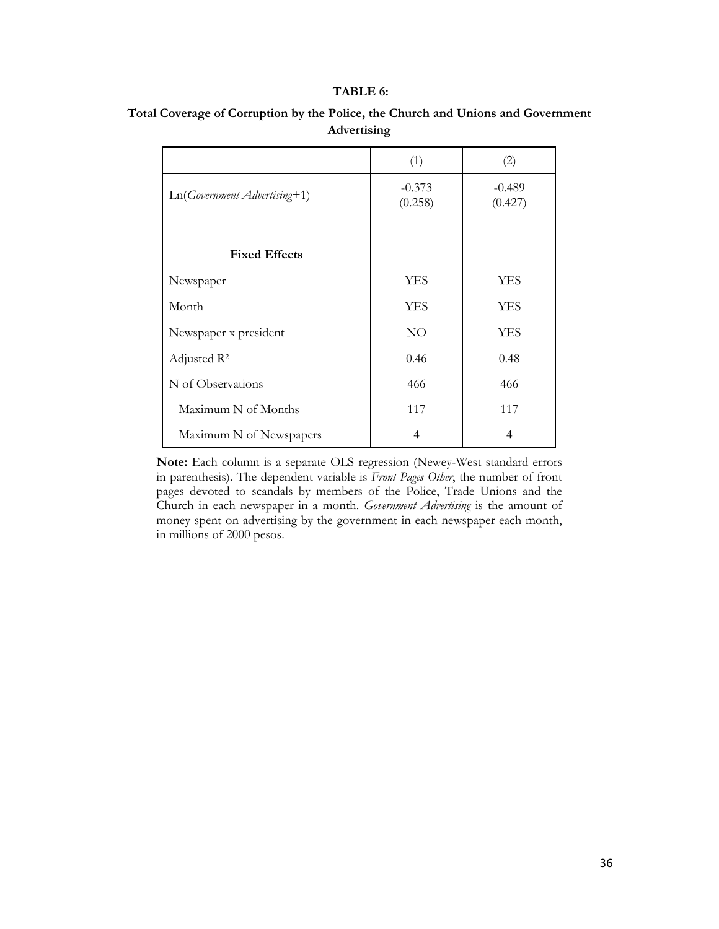## **TABLE 6:**

|                              | (1)                 | (2)                 |
|------------------------------|---------------------|---------------------|
| Ln(Government Advertising+1) | $-0.373$<br>(0.258) | $-0.489$<br>(0.427) |
| <b>Fixed Effects</b>         |                     |                     |
| Newspaper                    | <b>YES</b>          | YES                 |
| Month                        | <b>YES</b>          | <b>YES</b>          |
| Newspaper x president        | NO                  | <b>YES</b>          |
| Adjusted R <sup>2</sup>      | 0.46                | 0.48                |
| N of Observations            | 466                 | 466                 |
| Maximum N of Months          | 117                 | 117                 |
| Maximum N of Newspapers      | $\overline{4}$      | 4                   |

# **Total Coverage of Corruption by the Police, the Church and Unions and Government Advertising**

**Note:** Each column is a separate OLS regression (Newey-West standard errors in parenthesis). The dependent variable is *Front Pages Other*, the number of front pages devoted to scandals by members of the Police, Trade Unions and the Church in each newspaper in a month. *Government Advertising* is the amount of money spent on advertising by the government in each newspaper each month, in millions of 2000 pesos.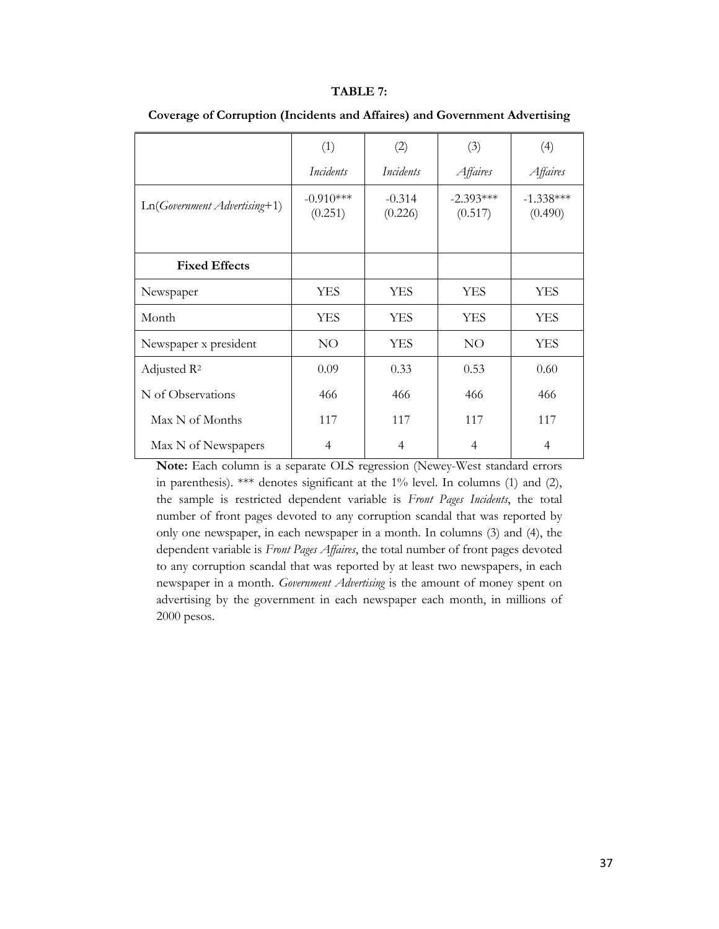#### **TABLE 7:**

|                                | (1)                    | (2)                 | (3)                    | (4)                    |
|--------------------------------|------------------------|---------------------|------------------------|------------------------|
|                                | Incidents              | Incidents           | Affaires               | Affaires               |
| $Ln(Government \,Adverting+1)$ | $-0.910***$<br>(0.251) | $-0.314$<br>(0.226) | $-2.393***$<br>(0.517) | $-1.338***$<br>(0.490) |
|                                |                        |                     |                        |                        |
| <b>Fixed Effects</b>           |                        |                     |                        |                        |
| Newspaper                      | YES                    | <b>YES</b>          | <b>YES</b>             | <b>YES</b>             |
| Month                          | YES                    | <b>YES</b>          | <b>YES</b>             | <b>YES</b>             |
| Newspaper x president          | NO                     | <b>YES</b>          | NO                     | <b>YES</b>             |
| Adjusted $\mathbb{R}^2$        | 0.09                   | 0.33                | 0.53                   | 0.60                   |
| N of Observations              | 466                    | 466                 | 466                    | 466                    |
| Max N of Months                | 117                    | 117                 | 117                    | 117                    |
| Max N of Newspapers            | 4                      | 4                   | $\overline{4}$         | 4                      |

**Coverage of Corruption (Incidents and Affaires) and Government Advertising** 

**Note:** Each column is a separate OLS regression (Newey-West standard errors in parenthesis). \*\*\* denotes significant at the 1% level. In columns (1) and (2), the sample is restricted dependent variable is *Front Pages Incidents*, the total number of front pages devoted to any corruption scandal that was reported by only one newspaper, in each newspaper in a month. In columns (3) and (4), the dependent variable is *Front Pages Affaires*, the total number of front pages devoted to any corruption scandal that was reported by at least two newspapers, in each newspaper in a month. *Government Advertising* is the amount of money spent on advertising by the government in each newspaper each month, in millions of 2000 pesos.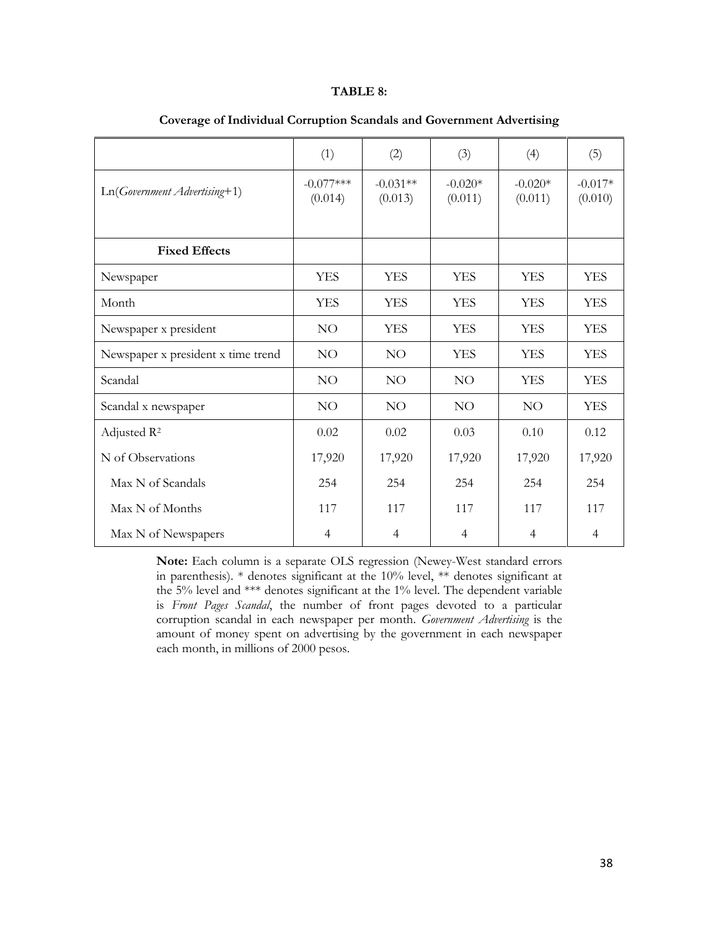#### **TABLE 8:**

|                                    | (1)                    | (2)                   | (3)                  | (4)                  | (5)                  |
|------------------------------------|------------------------|-----------------------|----------------------|----------------------|----------------------|
| $Ln(Government \,Adverting+1)$     | $-0.077***$<br>(0.014) | $-0.031**$<br>(0.013) | $-0.020*$<br>(0.011) | $-0.020*$<br>(0.011) | $-0.017*$<br>(0.010) |
| <b>Fixed Effects</b>               |                        |                       |                      |                      |                      |
| Newspaper                          | <b>YES</b>             | <b>YES</b>            | <b>YES</b>           | <b>YES</b>           | <b>YES</b>           |
| Month                              | <b>YES</b>             | <b>YES</b>            | <b>YES</b>           | <b>YES</b>           | <b>YES</b>           |
| Newspaper x president              | NO                     | <b>YES</b>            | <b>YES</b>           | <b>YES</b>           | <b>YES</b>           |
| Newspaper x president x time trend | NO                     | NO                    | <b>YES</b>           | <b>YES</b>           | <b>YES</b>           |
| Scandal                            | NO                     | NO <sub>1</sub>       | NO <sub>1</sub>      | <b>YES</b>           | <b>YES</b>           |
| Scandal x newspaper                | NO                     | NO                    | NO <sub>1</sub>      | NO                   | <b>YES</b>           |
| Adjusted R <sup>2</sup>            | 0.02                   | 0.02                  | 0.03                 | 0.10                 | 0.12                 |
| N of Observations                  | 17,920                 | 17,920                | 17,920               | 17,920               | 17,920               |
| Max N of Scandals                  | 254                    | 254                   | 254                  | 254                  | 254                  |
| Max N of Months                    | 117                    | 117                   | 117                  | 117                  | 117                  |
| Max N of Newspapers                | $\overline{4}$         | $\overline{4}$        | 4                    | $\overline{4}$       | $\overline{4}$       |

#### **Coverage of Individual Corruption Scandals and Government Advertising**

**Note:** Each column is a separate OLS regression (Newey-West standard errors in parenthesis). \* denotes significant at the 10% level, \*\* denotes significant at the 5% level and \*\*\* denotes significant at the 1% level. The dependent variable is *Front Pages Scandal*, the number of front pages devoted to a particular corruption scandal in each newspaper per month. *Government Advertising* is the amount of money spent on advertising by the government in each newspaper each month, in millions of 2000 pesos.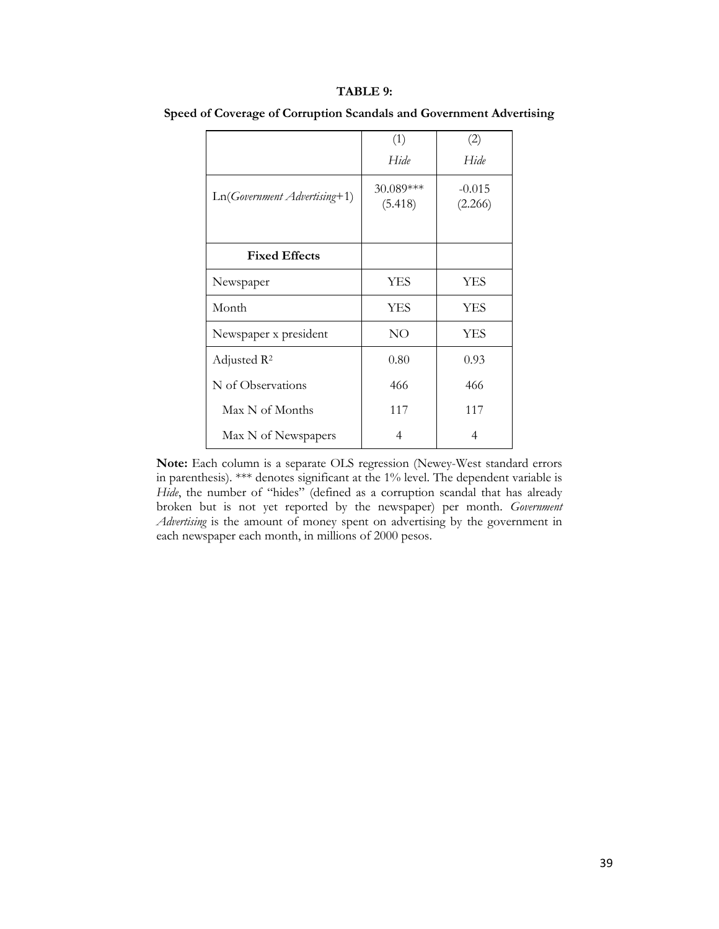#### **TABLE 9:**

|                                | (1)                  | (2)                 |
|--------------------------------|----------------------|---------------------|
|                                | Hide                 | Hide                |
| $Ln(Government \,Adverting+1)$ | 30.089***<br>(5.418) | $-0.015$<br>(2.266) |
| <b>Fixed Effects</b>           |                      |                     |
| Newspaper                      | <b>YES</b>           | <b>YES</b>          |
| Month                          | <b>YES</b>           | <b>YES</b>          |
| Newspaper x president          | NO                   | YES                 |
| Adjusted $\mathbb{R}^2$        | 0.80                 | 0.93                |
| N of Observations              | 466                  | 466                 |
| Max N of Months                | 117                  | 117                 |
| Max N of Newspapers            | 4                    | 4                   |

**Speed of Coverage of Corruption Scandals and Government Advertising** 

**Note:** Each column is a separate OLS regression (Newey-West standard errors in parenthesis). \*\*\* denotes significant at the 1% level. The dependent variable is *Hide*, the number of "hides" (defined as a corruption scandal that has already broken but is not yet reported by the newspaper) per month. *Government Advertising* is the amount of money spent on advertising by the government in each newspaper each month, in millions of 2000 pesos.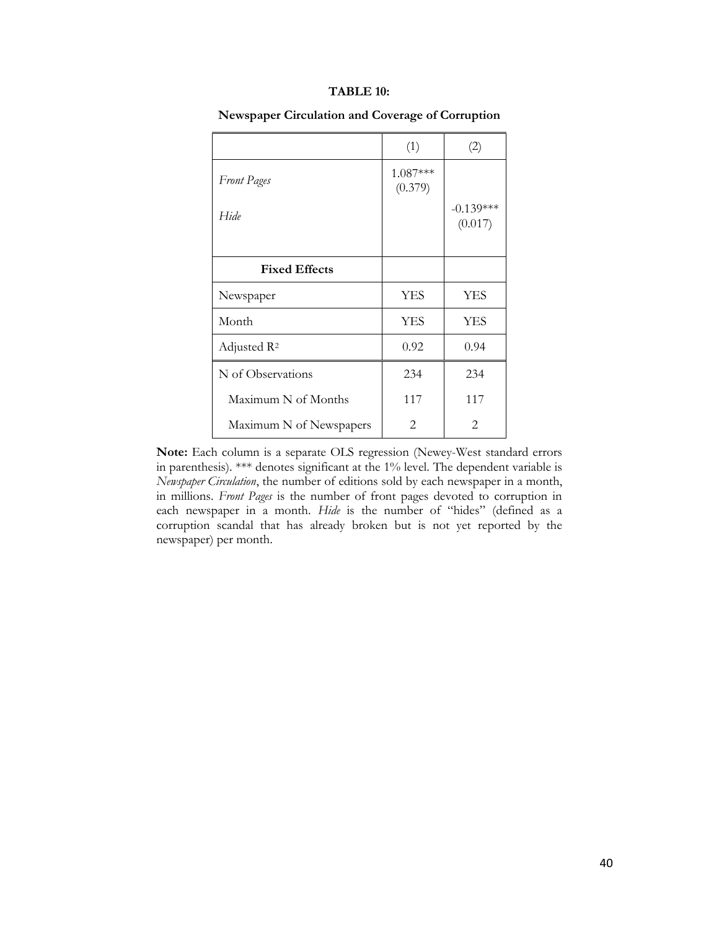### **TABLE 10:**

|                         | (1)                   |                        |
|-------------------------|-----------------------|------------------------|
| <b>Front Pages</b>      | $1.087***$<br>(0.379) |                        |
| Hide                    |                       | $-0.139***$<br>(0.017) |
| <b>Fixed Effects</b>    |                       |                        |
| Newspaper               | <b>YES</b>            | YES                    |
| Month                   | <b>YES</b>            | <b>YES</b>             |
| Adjusted R <sup>2</sup> | 0.92                  | 0.94                   |
| N of Observations       | 234                   | 234                    |
| Maximum N of Months     | 117                   | 117                    |
| Maximum N of Newspapers | 2                     | 2                      |

**Newspaper Circulation and Coverage of Corruption** 

**Note:** Each column is a separate OLS regression (Newey-West standard errors in parenthesis). \*\*\* denotes significant at the 1% level. The dependent variable is *Newspaper Circulation*, the number of editions sold by each newspaper in a month, in millions. *Front Pages* is the number of front pages devoted to corruption in each newspaper in a month. *Hide* is the number of "hides" (defined as a corruption scandal that has already broken but is not yet reported by the newspaper) per month.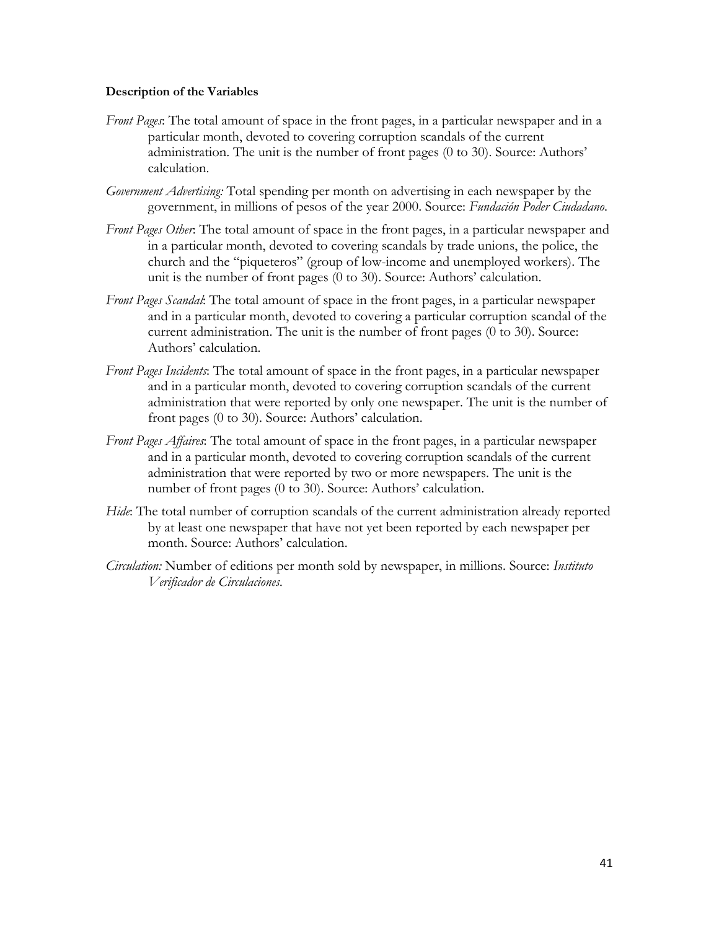## **Description of the Variables**

- *Front Pages*: The total amount of space in the front pages, in a particular newspaper and in a particular month, devoted to covering corruption scandals of the current administration. The unit is the number of front pages (0 to 30). Source: Authors' calculation.
- *Government Advertising:* Total spending per month on advertising in each newspaper by the government, in millions of pesos of the year 2000. Source: *Fundación Poder Ciudadano*.
- *Front Pages Other*: The total amount of space in the front pages, in a particular newspaper and in a particular month, devoted to covering scandals by trade unions, the police, the church and the "piqueteros" (group of low-income and unemployed workers). The unit is the number of front pages (0 to 30). Source: Authors' calculation.
- *Front Pages Scandal*: The total amount of space in the front pages, in a particular newspaper and in a particular month, devoted to covering a particular corruption scandal of the current administration. The unit is the number of front pages (0 to 30). Source: Authors' calculation.
- *Front Pages Incidents*: The total amount of space in the front pages, in a particular newspaper and in a particular month, devoted to covering corruption scandals of the current administration that were reported by only one newspaper. The unit is the number of front pages (0 to 30). Source: Authors' calculation.
- *Front Pages Affaires*: The total amount of space in the front pages, in a particular newspaper and in a particular month, devoted to covering corruption scandals of the current administration that were reported by two or more newspapers. The unit is the number of front pages (0 to 30). Source: Authors' calculation.
- *Hide*: The total number of corruption scandals of the current administration already reported by at least one newspaper that have not yet been reported by each newspaper per month. Source: Authors' calculation.
- *Circulation:* Number of editions per month sold by newspaper, in millions. Source: *Instituto Verificador de Circulaciones.*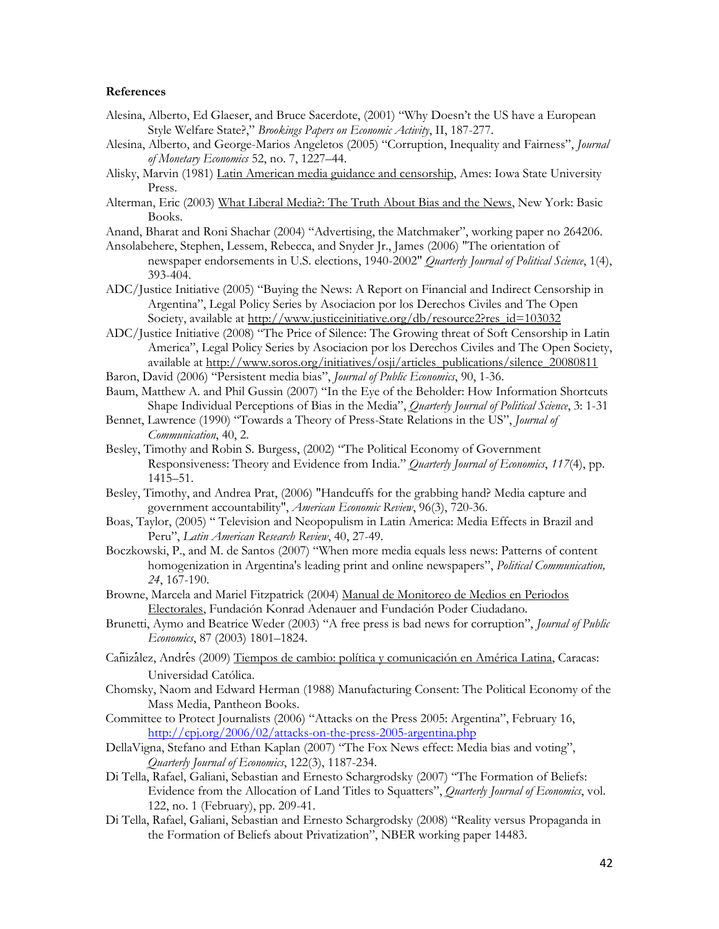#### **References**

- Alesina, Alberto, Ed Glaeser, and Bruce Sacerdote, (2001) "Why Doesn't the US have a European Style Welfare State?," *Brookings Papers on Economic Activity*, II, 187-277.
- Alesina, Alberto, and George-Marios Angeletos (2005) "Corruption, Inequality and Fairness", *Journal of Monetary Economics* 52, no. 7, 1227–44.
- Alisky, Marvin (1981) Latin American media guidance and censorship, Ames: Iowa State University Press.
- Alterman, Eric (2003) What Liberal Media?: The Truth About Bias and the News, New York: Basic Books.

Anand, Bharat and Roni Shachar (2004) "Advertising, the Matchmaker", working paper no 264206.

- Ansolabehere, Stephen, Lessem, Rebecca, and Snyder Jr., James (2006) "The orientation of newspaper endorsements in U.S. elections, 1940-2002" *Quarterly Journal of Political Science*, 1(4), 393-404.
- ADC/Justice Initiative (2005) "Buying the News: A Report on Financial and Indirect Censorship in Argentina", Legal Policy Series by Asociacion por los Derechos Civiles and The Open Society, available at [http://www.justiceinitiative.org/db/resource2?res\\_id=103032](http://www.justiceinitiative.org/db/resource2?res_id=103032)

ADC/Justice Initiative (2008) "The Price of Silence: The Growing threat of Soft Censorship in Latin America", Legal Policy Series by Asociacion por los Derechos Civiles and The Open Society, available at [http://www.soros.org/initiatives/osji/articles\\_publications/silence\\_20080811](http://www.soros.org/initiatives/osji/articles_publications/silence_20080811)

- Baron, David (2006) "Persistent media bias", *Journal of Public Economics*, 90, 1-36.
- Baum, Matthew A. and Phil Gussin (2007) "In the Eye of the Beholder: How Information Shortcuts Shape Individual Perceptions of Bias in the Media", *Quarterly Journal of Political Science*, 3: 1-31
- Bennet, Lawrence (1990) "Towards a Theory of Press-State Relations in the US", *Journal of Communication*, 40, 2.
- Besley, Timothy and Robin S. Burgess, (2002) "The Political Economy of Government Responsiveness: Theory and Evidence from India." *Quarterly Journal of Economics*, *117*(4), pp. 1415–51.
- Besley, Timothy, and Andrea Prat, (2006) "Handcuffs for the grabbing hand? Media capture and government accountability", *American Economic Review*, 96(3), 720-36.
- Boas, Taylor, (2005) " Television and Neopopulism in Latin America: Media Effects in Brazil and Peru", *Latin American Research Review*, 40, 27-49.
- Boczkowski, P., and M. de Santos (2007) "When more media equals less news: Patterns of content homogenization in Argentina's leading print and online newspapers", *Political Communication, 24*, 167-190.
- Browne, Marcela and Mariel Fitzpatrick (2004) Manual de Monitoreo de Medios en Periodos Electorales, Fundación Konrad Adenauer and Fundación Poder Ciudadano.
- Brunetti, Aymo and Beatrice Weder (2003) "A free press is bad news for corruption", *Journal of Public Economics*, 87 (2003) 1801–1824.
- Canizalez, Andres (2009) Tiempos de cambio: política y comunicación en América Latina, Caracas: Universidad Católica.
- Chomsky, Naom and Edward Herman (1988) Manufacturing Consent: The Political Economy of the Mass Media, Pantheon Books.
- Committee to Protect Journalists (2006) "Attacks on the Press 2005: Argentina", February 16, <http://cpj.org/2006/02/attacks-on-the-press-2005-argentina.php>
- DellaVigna, Stefano and Ethan Kaplan (2007) "The Fox News effect: Media bias and voting", *Quarterly Journal of Economics*, 122(3), 1187-234.
- Di Tella, Rafael, Galiani, Sebastian and Ernesto Schargrodsky (2007) "The Formation of Beliefs: Evidence from the Allocation of Land Titles to Squatters", *Quarterly Journal of Economics*, vol. 122, no. 1 (February), pp. 209-41.
- Di Tella, Rafael, Galiani, Sebastian and Ernesto Schargrodsky (2008) "Reality versus Propaganda in the Formation of Beliefs about Privatization", NBER working paper 14483.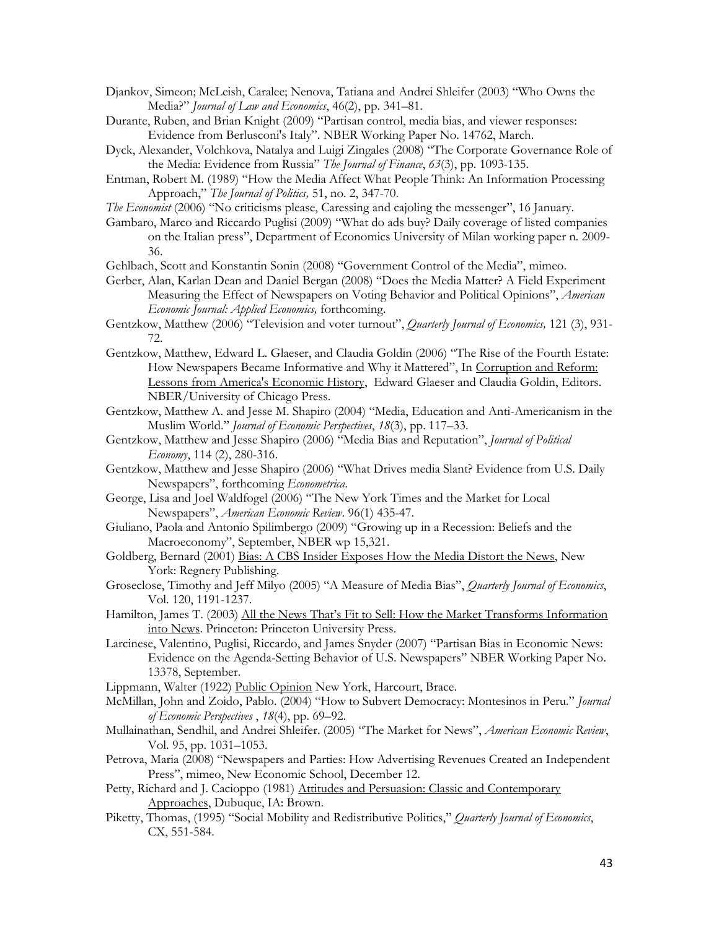- Djankov, Simeon; McLeish, Caralee; Nenova, Tatiana and Andrei Shleifer (2003) "Who Owns the Media?" *Journal of Law and Economics*, 46(2), pp. 341–81.
- Durante, Ruben, and Brian Knight (2009) "Partisan control, media bias, and viewer responses: Evidence from Berlusconi's Italy". NBER Working Paper No. 14762, March.
- Dyck, Alexander, Volchkova, Natalya and Luigi Zingales (2008) "The Corporate Governance Role of the Media: Evidence from Russia" *The Journal of Finance*, *63*(3), pp. 1093-135.
- Entman, Robert M. (1989) "How the Media Affect What People Think: An Information Processing Approach," *The Journal of Politics,* 51, no. 2, 347-70.
- *The Economist* (2006) "No criticisms please, Caressing and cajoling the messenger", 16 January.
- Gambaro, Marco and Riccardo Puglisi (2009) "What do ads buy? Daily coverage of listed companies on the Italian press", Department of Economics University of Milan working paper n. 2009- 36.
- Gehlbach, Scott and Konstantin Sonin (2008) "Government Control of the Media", mimeo.
- Gerber, Alan, Karlan Dean and Daniel Bergan (2008) "Does the Media Matter? A Field Experiment Measuring the Effect of Newspapers on Voting Behavior and Political Opinions", *American Economic Journal: Applied Economics,* forthcoming.
- Gentzkow, Matthew (2006) "Television and voter turnout", *Quarterly Journal of Economics,* 121 (3), 931- 72.
- Gentzkow, Matthew, Edward L. Glaeser, and Claudia Goldin (2006) "The Rise of the Fourth Estate: How Newspapers Became Informative and Why it Mattered", In Corruption and Reform: Lessons from America's Economic History, Edward Glaeser and Claudia Goldin, Editors. NBER/University of Chicago Press.
- Gentzkow, Matthew A. and Jesse M. Shapiro (2004) "Media, Education and Anti-Americanism in the Muslim World." *Journal of Economic Perspectives*, *18*(3), pp. 117–33.
- Gentzkow, Matthew and Jesse Shapiro (2006) "Media Bias and Reputation", *Journal of Political Economy*, 114 (2), 280-316.
- Gentzkow, Matthew and Jesse Shapiro (2006) "What Drives media Slant? Evidence from U.S. Daily Newspapers", forthcoming *Econometrica*.
- George, Lisa and Joel Waldfogel (2006) "The New York Times and the Market for Local Newspapers", *American Economic Review*. 96(1) 435-47.
- Giuliano, Paola and Antonio Spilimbergo (2009) "Growing up in a Recession: Beliefs and the Macroeconomy", September, NBER wp 15,321.
- Goldberg, Bernard (2001) Bias: A CBS Insider Exposes How the Media Distort the News, New York: Regnery Publishing.
- Groseclose, Timothy and Jeff Milyo (2005) "A Measure of Media Bias", *Quarterly Journal of Economics*, Vol. 120, 1191-1237.
- Hamilton, James T. (2003) All the News That's Fit to Sell: How the Market Transforms Information into News. Princeton: Princeton University Press.
- Larcinese, Valentino, Puglisi, Riccardo, and James Snyder (2007) "Partisan Bias in Economic News: Evidence on the Agenda-Setting Behavior of U.S. Newspapers" NBER Working Paper No. 13378, September.
- Lippmann, Walter (1922) Public Opinion New York, Harcourt, Brace.
- McMillan, John and Zoido, Pablo. (2004) "How to Subvert Democracy: Montesinos in Peru." *Journal of Economic Perspectives* , *18*(4), pp. 69–92.
- Mullainathan, Sendhil, and Andrei Shleifer. (2005) "The Market for News", *American Economic Review*, Vol. 95, pp. 1031–1053.
- Petrova, Maria (2008) "Newspapers and Parties: How Advertising Revenues Created an Independent Press", mimeo, New Economic School, December 12.
- Petty, Richard and J. Cacioppo (1981) Attitudes and Persuasion: Classic and Contemporary Approaches, Dubuque, IA: Brown.
- Piketty, Thomas, (1995) "Social Mobility and Redistributive Politics," *Quarterly Journal of Economics*, CX, 551-584.